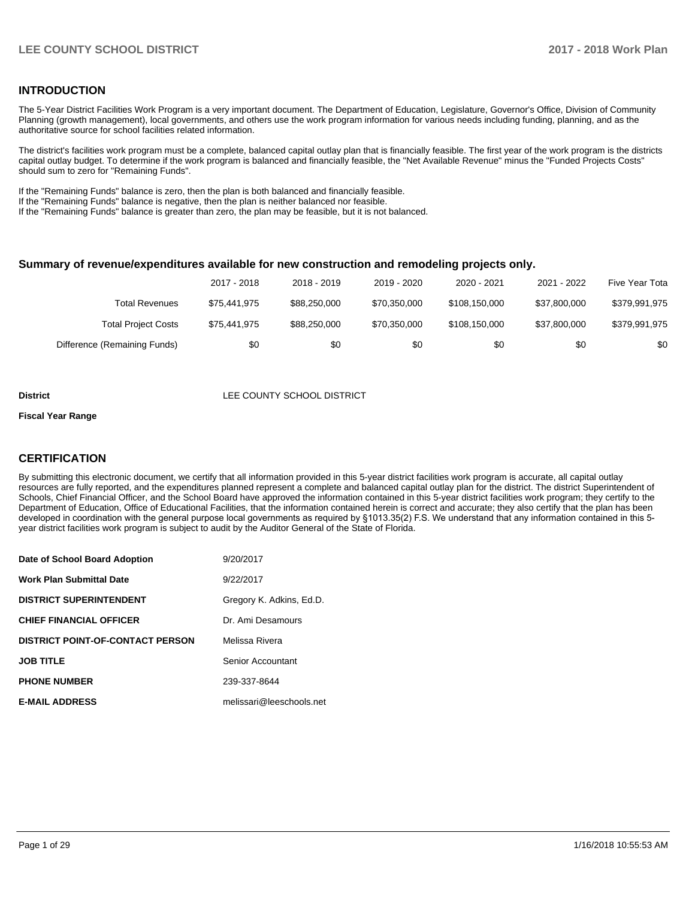#### **INTRODUCTION**

The 5-Year District Facilities Work Program is a very important document. The Department of Education, Legislature, Governor's Office, Division of Community Planning (growth management), local governments, and others use the work program information for various needs including funding, planning, and as the authoritative source for school facilities related information.

The district's facilities work program must be a complete, balanced capital outlay plan that is financially feasible. The first year of the work program is the districts capital outlay budget. To determine if the work program is balanced and financially feasible, the "Net Available Revenue" minus the "Funded Projects Costs" should sum to zero for "Remaining Funds".

If the "Remaining Funds" balance is zero, then the plan is both balanced and financially feasible.

If the "Remaining Funds" balance is negative, then the plan is neither balanced nor feasible.

If the "Remaining Funds" balance is greater than zero, the plan may be feasible, but it is not balanced.

#### **Summary of revenue/expenditures available for new construction and remodeling projects only.**

|                              | 2017 - 2018  | 2018 - 2019  | 2019 - 2020  | 2020 - 2021   | 2021 - 2022  | Five Year Tota |
|------------------------------|--------------|--------------|--------------|---------------|--------------|----------------|
| Total Revenues               | \$75.441.975 | \$88,250,000 | \$70.350.000 | \$108,150,000 | \$37.800.000 | \$379,991,975  |
| <b>Total Project Costs</b>   | \$75.441.975 | \$88,250,000 | \$70.350.000 | \$108,150,000 | \$37.800.000 | \$379,991,975  |
| Difference (Remaining Funds) | \$0          | \$0          | \$0          | \$0           | \$0          | \$0            |

#### **District LEE COUNTY SCHOOL DISTRICT**

#### **Fiscal Year Range**

#### **CERTIFICATION**

By submitting this electronic document, we certify that all information provided in this 5-year district facilities work program is accurate, all capital outlay resources are fully reported, and the expenditures planned represent a complete and balanced capital outlay plan for the district. The district Superintendent of Schools, Chief Financial Officer, and the School Board have approved the information contained in this 5-year district facilities work program; they certify to the Department of Education, Office of Educational Facilities, that the information contained herein is correct and accurate; they also certify that the plan has been developed in coordination with the general purpose local governments as required by §1013.35(2) F.S. We understand that any information contained in this 5year district facilities work program is subject to audit by the Auditor General of the State of Florida.

| Date of School Board Adoption           | 9/20/2017                |
|-----------------------------------------|--------------------------|
| Work Plan Submittal Date                | 9/22/2017                |
| <b>DISTRICT SUPERINTENDENT</b>          | Gregory K. Adkins, Ed.D. |
| <b>CHIEF FINANCIAL OFFICER</b>          | Dr. Ami Desamours        |
| <b>DISTRICT POINT-OF-CONTACT PERSON</b> | Melissa Rivera           |
| JOB TITLE                               | Senior Accountant        |
| <b>PHONE NUMBER</b>                     | 239-337-8644             |
| <b>E-MAIL ADDRESS</b>                   | melissari@leeschools.net |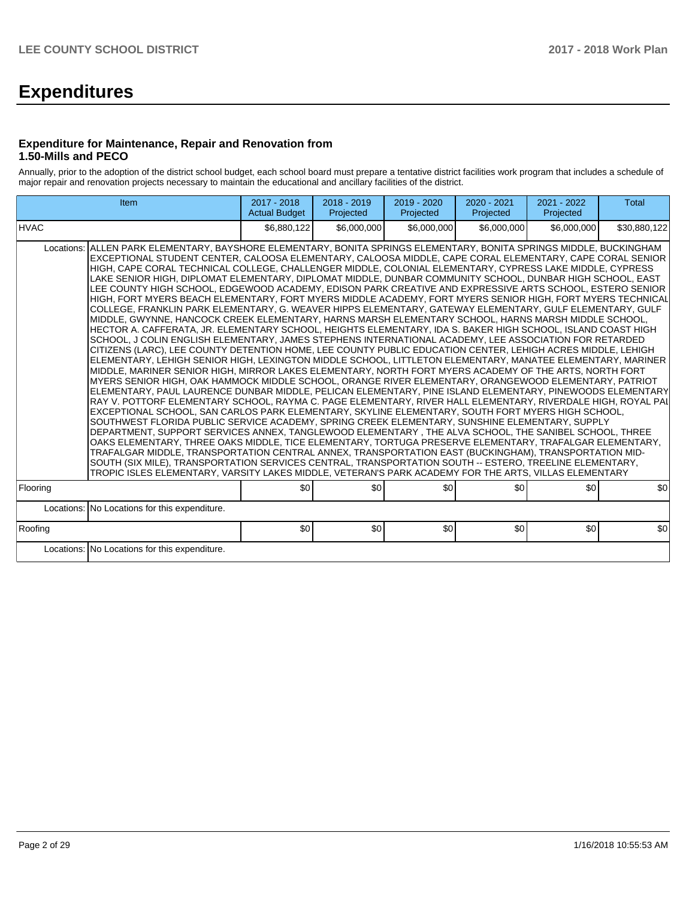# **Expenditures**

#### **Expenditure for Maintenance, Repair and Renovation from 1.50-Mills and PECO**

Annually, prior to the adoption of the district school budget, each school board must prepare a tentative district facilities work program that includes a schedule of major repair and renovation projects necessary to maintain the educational and ancillary facilities of the district.

| Item                                                                                                                                                                                                                                                                                                                                                                                                                                                                                                                                                                                                                                                                                                                                                                                                                                                                                                                                                                                                                                                                                                                                                                                                                                                                                                                                                                                                                                                                                                                                                                                                                                                                                                                                                                                                                                                                                                                                                                                                                                                                                                                                                                                                                                                                                                                                                                                                                                                                                                                                                                        | 2017 - 2018<br><b>Actual Budget</b> | $2018 - 2019$<br>Projected | 2019 - 2020<br>Projected | 2020 - 2021<br>Projected | $2021 - 2022$<br>Projected | <b>Total</b> |  |  |  |  |
|-----------------------------------------------------------------------------------------------------------------------------------------------------------------------------------------------------------------------------------------------------------------------------------------------------------------------------------------------------------------------------------------------------------------------------------------------------------------------------------------------------------------------------------------------------------------------------------------------------------------------------------------------------------------------------------------------------------------------------------------------------------------------------------------------------------------------------------------------------------------------------------------------------------------------------------------------------------------------------------------------------------------------------------------------------------------------------------------------------------------------------------------------------------------------------------------------------------------------------------------------------------------------------------------------------------------------------------------------------------------------------------------------------------------------------------------------------------------------------------------------------------------------------------------------------------------------------------------------------------------------------------------------------------------------------------------------------------------------------------------------------------------------------------------------------------------------------------------------------------------------------------------------------------------------------------------------------------------------------------------------------------------------------------------------------------------------------------------------------------------------------------------------------------------------------------------------------------------------------------------------------------------------------------------------------------------------------------------------------------------------------------------------------------------------------------------------------------------------------------------------------------------------------------------------------------------------------|-------------------------------------|----------------------------|--------------------------|--------------------------|----------------------------|--------------|--|--|--|--|
| <b>HVAC</b>                                                                                                                                                                                                                                                                                                                                                                                                                                                                                                                                                                                                                                                                                                                                                                                                                                                                                                                                                                                                                                                                                                                                                                                                                                                                                                                                                                                                                                                                                                                                                                                                                                                                                                                                                                                                                                                                                                                                                                                                                                                                                                                                                                                                                                                                                                                                                                                                                                                                                                                                                                 | \$6,880,122                         | \$6,000,000                | \$6,000,000              | \$6,000,000              | \$6,000,000                | \$30,880,122 |  |  |  |  |
| ALLEN PARK ELEMENTARY, BAYSHORE ELEMENTARY, BONITA SPRINGS ELEMENTARY, BONITA SPRINGS MIDDLE, BUCKINGHAM<br>Locations:<br>EXCEPTIONAL STUDENT CENTER, CALOOSA ELEMENTARY, CALOOSA MIDDLE, CAPE CORAL ELEMENTARY, CAPE CORAL SENIOR<br>HIGH, CAPE CORAL TECHNICAL COLLEGE, CHALLENGER MIDDLE, COLONIAL ELEMENTARY, CYPRESS LAKE MIDDLE, CYPRESS<br>LAKE SENIOR HIGH. DIPLOMAT ELEMENTARY. DIPLOMAT MIDDLE. DUNBAR COMMUNITY SCHOOL. DUNBAR HIGH SCHOOL. EAST<br>LEE COUNTY HIGH SCHOOL, EDGEWOOD ACADEMY, EDISON PARK CREATIVE AND EXPRESSIVE ARTS SCHOOL, ESTERO SENIOR<br>HIGH, FORT MYERS BEACH ELEMENTARY, FORT MYERS MIDDLE ACADEMY, FORT MYERS SENIOR HIGH, FORT MYERS TECHNICAL<br>COLLEGE, FRANKLIN PARK ELEMENTARY, G. WEAVER HIPPS ELEMENTARY, GATEWAY ELEMENTARY, GULF ELEMENTARY, GULF<br>MIDDLE. GWYNNE. HANCOCK CREEK ELEMENTARY. HARNS MARSH ELEMENTARY SCHOOL. HARNS MARSH MIDDLE SCHOOL.<br>HECTOR A. CAFFERATA. JR. ELEMENTARY SCHOOL. HEIGHTS ELEMENTARY. IDA S. BAKER HIGH SCHOOL. ISLAND COAST HIGH<br>SCHOOL. J COLIN ENGLISH ELEMENTARY. JAMES STEPHENS INTERNATIONAL ACADEMY. LEE ASSOCIATION FOR RETARDED<br>CITIZENS (LARC), LEE COUNTY DETENTION HOME, LEE COUNTY PUBLIC EDUCATION CENTER, LEHIGH ACRES MIDDLE, LEHIGH<br>ELEMENTARY, LEHIGH SENIOR HIGH, LEXINGTON MIDDLE SCHOOL, LITTLETON ELEMENTARY, MANATEE ELEMENTARY, MARINER<br>MIDDLE, MARINER SENIOR HIGH, MIRROR LAKES ELEMENTARY, NORTH FORT MYERS ACADEMY OF THE ARTS, NORTH FORT<br>MYERS SENIOR HIGH, OAK HAMMOCK MIDDLE SCHOOL, ORANGE RIVER ELEMENTARY, ORANGEWOOD ELEMENTARY, PATRIOT<br> ELEMENTARY, PAUL LAURENCE DUNBAR MIDDLE, PELICAN ELEMENTARY, PINE ISLAND ELEMENTARY, PINEWOODS ELEMENTARY <br>RAY V. POTTORF ELEMENTARY SCHOOL, RAYMA C. PAGE ELEMENTARY, RIVER HALL ELEMENTARY, RIVERDALE HIGH, ROYAL PAI I<br>EXCEPTIONAL SCHOOL, SAN CARLOS PARK ELEMENTARY, SKYLINE ELEMENTARY, SOUTH FORT MYERS HIGH SCHOOL,<br>SOUTHWEST FLORIDA PUBLIC SERVICE ACADEMY, SPRING CREEK ELEMENTARY, SUNSHINE ELEMENTARY, SUPPLY<br>DEPARTMENT, SUPPORT SERVICES ANNEX, TANGLEWOOD ELEMENTARY , THE ALVA SCHOOL, THE SANIBEL SCHOOL, THREE<br>OAKS ELEMENTARY, THREE OAKS MIDDLE, TICE ELEMENTARY, TORTUGA PRESERVE ELEMENTARY, TRAFALGAR ELEMENTARY,<br>TRAFALGAR MIDDLE, TRANSPORTATION CENTRAL ANNEX, TRANSPORTATION EAST (BUCKINGHAM), TRANSPORTATION MID-<br>SOUTH (SIX MILE), TRANSPORTATION SERVICES CENTRAL, TRANSPORTATION SOUTH -- ESTERO, TREELINE ELEMENTARY,<br>TROPIC ISLES ELEMENTARY, VARSITY LAKES MIDDLE, VETERAN'S PARK ACADEMY FOR THE ARTS, VILLAS ELEMENTARY |                                     |                            |                          |                          |                            |              |  |  |  |  |
| Flooring                                                                                                                                                                                                                                                                                                                                                                                                                                                                                                                                                                                                                                                                                                                                                                                                                                                                                                                                                                                                                                                                                                                                                                                                                                                                                                                                                                                                                                                                                                                                                                                                                                                                                                                                                                                                                                                                                                                                                                                                                                                                                                                                                                                                                                                                                                                                                                                                                                                                                                                                                                    | \$0                                 | \$0                        | \$0                      | \$0                      | \$0                        | \$0          |  |  |  |  |
| Locations: No Locations for this expenditure.                                                                                                                                                                                                                                                                                                                                                                                                                                                                                                                                                                                                                                                                                                                                                                                                                                                                                                                                                                                                                                                                                                                                                                                                                                                                                                                                                                                                                                                                                                                                                                                                                                                                                                                                                                                                                                                                                                                                                                                                                                                                                                                                                                                                                                                                                                                                                                                                                                                                                                                               |                                     |                            |                          |                          |                            |              |  |  |  |  |
| Roofing                                                                                                                                                                                                                                                                                                                                                                                                                                                                                                                                                                                                                                                                                                                                                                                                                                                                                                                                                                                                                                                                                                                                                                                                                                                                                                                                                                                                                                                                                                                                                                                                                                                                                                                                                                                                                                                                                                                                                                                                                                                                                                                                                                                                                                                                                                                                                                                                                                                                                                                                                                     | \$0                                 | \$0                        | \$0                      | \$0                      | \$0                        | \$0          |  |  |  |  |
| Locations: No Locations for this expenditure.                                                                                                                                                                                                                                                                                                                                                                                                                                                                                                                                                                                                                                                                                                                                                                                                                                                                                                                                                                                                                                                                                                                                                                                                                                                                                                                                                                                                                                                                                                                                                                                                                                                                                                                                                                                                                                                                                                                                                                                                                                                                                                                                                                                                                                                                                                                                                                                                                                                                                                                               |                                     |                            |                          |                          |                            |              |  |  |  |  |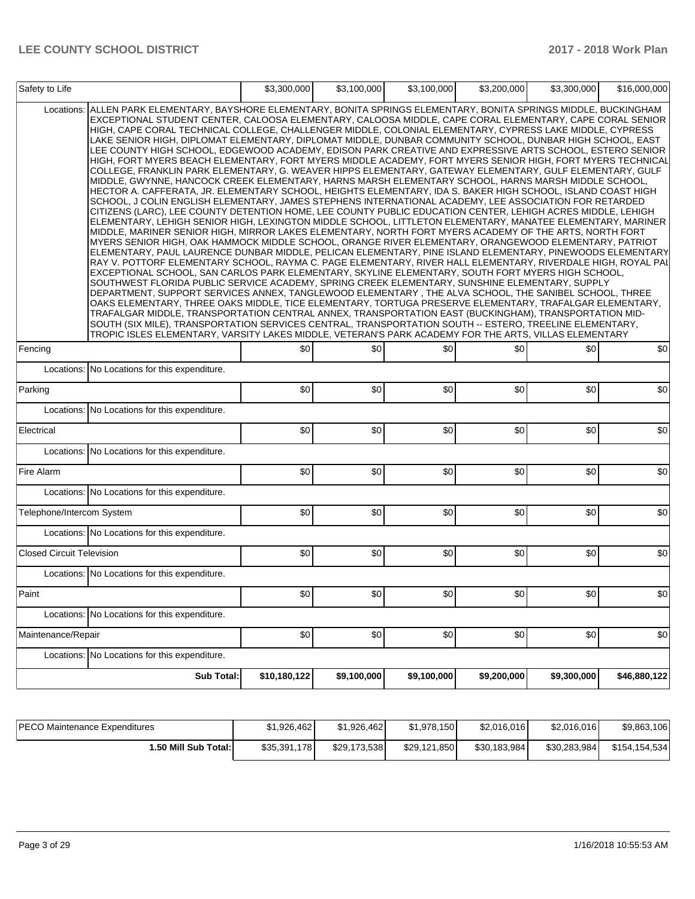| Safety to Life                   |                                                                                                                                                                                                                                                                                                                                                                                                                                                                                                                                                                                                                                                                                                                                                                                                                                                                                                                                                                                                                                                                                                                                                                                                                                                                                                                                                                                                                                                                                                                                                                                                                                                                                                                                                                                                                                                                                                                                                                                                                                                                                                                                                                                                                                                                                                                                                                                                                                                                                                                                                            | \$3,300,000  | \$3,100,000 | \$3,100,000 | \$3,200,000 | \$3,300,000 | \$16,000,000 |
|----------------------------------|------------------------------------------------------------------------------------------------------------------------------------------------------------------------------------------------------------------------------------------------------------------------------------------------------------------------------------------------------------------------------------------------------------------------------------------------------------------------------------------------------------------------------------------------------------------------------------------------------------------------------------------------------------------------------------------------------------------------------------------------------------------------------------------------------------------------------------------------------------------------------------------------------------------------------------------------------------------------------------------------------------------------------------------------------------------------------------------------------------------------------------------------------------------------------------------------------------------------------------------------------------------------------------------------------------------------------------------------------------------------------------------------------------------------------------------------------------------------------------------------------------------------------------------------------------------------------------------------------------------------------------------------------------------------------------------------------------------------------------------------------------------------------------------------------------------------------------------------------------------------------------------------------------------------------------------------------------------------------------------------------------------------------------------------------------------------------------------------------------------------------------------------------------------------------------------------------------------------------------------------------------------------------------------------------------------------------------------------------------------------------------------------------------------------------------------------------------------------------------------------------------------------------------------------------------|--------------|-------------|-------------|-------------|-------------|--------------|
| Locations:                       | ALLEN PARK ELEMENTARY, BAYSHORE ELEMENTARY, BONITA SPRINGS ELEMENTARY, BONITA SPRINGS MIDDLE, BUCKINGHAM<br>EXCEPTIONAL STUDENT CENTER, CALOOSA ELEMENTARY, CALOOSA MIDDLE, CAPE CORAL ELEMENTARY, CAPE CORAL SENIOR<br>HIGH, CAPE CORAL TECHNICAL COLLEGE, CHALLENGER MIDDLE, COLONIAL ELEMENTARY, CYPRESS LAKE MIDDLE, CYPRESS<br>LAKE SENIOR HIGH, DIPLOMAT ELEMENTARY, DIPLOMAT MIDDLE, DUNBAR COMMUNITY SCHOOL, DUNBAR HIGH SCHOOL, EAST<br>LEE COUNTY HIGH SCHOOL, EDGEWOOD ACADEMY, EDISON PARK CREATIVE AND EXPRESSIVE ARTS SCHOOL, ESTERO SENIOR<br>HIGH, FORT MYERS BEACH ELEMENTARY, FORT MYERS MIDDLE ACADEMY, FORT MYERS SENIOR HIGH, FORT MYERS TECHNICAL<br>COLLEGE, FRANKLIN PARK ELEMENTARY, G. WEAVER HIPPS ELEMENTARY, GATEWAY ELEMENTARY, GULF ELEMENTARY, GULF<br>MIDDLE, GWYNNE, HANCOCK CREEK ELEMENTARY, HARNS MARSH ELEMENTARY SCHOOL, HARNS MARSH MIDDLE SCHOOL,<br>HECTOR A. CAFFERATA, JR. ELEMENTARY SCHOOL, HEIGHTS ELEMENTARY, IDA S. BAKER HIGH SCHOOL, ISLAND COAST HIGH<br>SCHOOL, J COLIN ENGLISH ELEMENTARY, JAMES STEPHENS INTERNATIONAL ACADEMY, LEE ASSOCIATION FOR RETARDED<br>CITIZENS (LARC), LEE COUNTY DETENTION HOME, LEE COUNTY PUBLIC EDUCATION CENTER, LEHIGH ACRES MIDDLE, LEHIGH<br>ELEMENTARY, LEHIGH SENIOR HIGH, LEXINGTON MIDDLE SCHOOL, LITTLETON ELEMENTARY, MANATEE ELEMENTARY, MARINER<br>MIDDLE, MARINER SENIOR HIGH, MIRROR LAKES ELEMENTARY, NORTH FORT MYERS ACADEMY OF THE ARTS, NORTH FORT<br>MYERS SENIOR HIGH, OAK HAMMOCK MIDDLE SCHOOL, ORANGE RIVER ELEMENTARY, ORANGEWOOD ELEMENTARY, PATRIOT<br>ELEMENTARY, PAUL LAURENCE DUNBAR MIDDLE, PELICAN ELEMENTARY, PINE ISLAND ELEMENTARY, PINEWOODS ELEMENTARY<br>RAY V. POTTORF ELEMENTARY SCHOOL, RAYMA C. PAGE ELEMENTARY, RIVER HALL ELEMENTARY, RIVERDALE HIGH, ROYAL PAI  <br>EXCEPTIONAL SCHOOL, SAN CARLOS PARK ELEMENTARY, SKYLINE ELEMENTARY, SOUTH FORT MYERS HIGH SCHOOL,<br>SOUTHWEST FLORIDA PUBLIC SERVICE ACADEMY, SPRING CREEK ELEMENTARY, SUNSHINE ELEMENTARY, SUPPLY<br>DEPARTMENT, SUPPORT SERVICES ANNEX, TANGLEWOOD ELEMENTARY, THE ALVA SCHOOL, THE SANIBEL SCHOOL, THREE<br>OAKS ELEMENTARY, THREE OAKS MIDDLE, TICE ELEMENTARY, TORTUGA PRESERVE ELEMENTARY, TRAFALGAR ELEMENTARY,<br>TRAFALGAR MIDDLE, TRANSPORTATION CENTRAL ANNEX, TRANSPORTATION EAST (BUCKINGHAM), TRANSPORTATION MID-<br>SOUTH (SIX MILE), TRANSPORTATION SERVICES CENTRAL, TRANSPORTATION SOUTH -- ESTERO, TREELINE ELEMENTARY,<br>TROPIC ISLES ELEMENTARY, VARSITY LAKES MIDDLE, VETERAN'S PARK ACADEMY FOR THE ARTS, VILLAS ELEMENTARY |              |             |             |             |             |              |
| Fencing                          |                                                                                                                                                                                                                                                                                                                                                                                                                                                                                                                                                                                                                                                                                                                                                                                                                                                                                                                                                                                                                                                                                                                                                                                                                                                                                                                                                                                                                                                                                                                                                                                                                                                                                                                                                                                                                                                                                                                                                                                                                                                                                                                                                                                                                                                                                                                                                                                                                                                                                                                                                            | \$0          | \$0         | \$0         | \$0         | \$0         | \$0          |
| Locations:                       | No Locations for this expenditure.                                                                                                                                                                                                                                                                                                                                                                                                                                                                                                                                                                                                                                                                                                                                                                                                                                                                                                                                                                                                                                                                                                                                                                                                                                                                                                                                                                                                                                                                                                                                                                                                                                                                                                                                                                                                                                                                                                                                                                                                                                                                                                                                                                                                                                                                                                                                                                                                                                                                                                                         |              |             |             |             |             |              |
| Parking                          |                                                                                                                                                                                                                                                                                                                                                                                                                                                                                                                                                                                                                                                                                                                                                                                                                                                                                                                                                                                                                                                                                                                                                                                                                                                                                                                                                                                                                                                                                                                                                                                                                                                                                                                                                                                                                                                                                                                                                                                                                                                                                                                                                                                                                                                                                                                                                                                                                                                                                                                                                            | \$0          | \$0         | \$0         | \$0         | \$0         | \$0          |
| Locations:                       | No Locations for this expenditure.                                                                                                                                                                                                                                                                                                                                                                                                                                                                                                                                                                                                                                                                                                                                                                                                                                                                                                                                                                                                                                                                                                                                                                                                                                                                                                                                                                                                                                                                                                                                                                                                                                                                                                                                                                                                                                                                                                                                                                                                                                                                                                                                                                                                                                                                                                                                                                                                                                                                                                                         |              |             |             |             |             |              |
| Electrical                       |                                                                                                                                                                                                                                                                                                                                                                                                                                                                                                                                                                                                                                                                                                                                                                                                                                                                                                                                                                                                                                                                                                                                                                                                                                                                                                                                                                                                                                                                                                                                                                                                                                                                                                                                                                                                                                                                                                                                                                                                                                                                                                                                                                                                                                                                                                                                                                                                                                                                                                                                                            | \$0          | \$0         | \$0         | \$0         | \$0         | \$0          |
| Locations:                       | No Locations for this expenditure.                                                                                                                                                                                                                                                                                                                                                                                                                                                                                                                                                                                                                                                                                                                                                                                                                                                                                                                                                                                                                                                                                                                                                                                                                                                                                                                                                                                                                                                                                                                                                                                                                                                                                                                                                                                                                                                                                                                                                                                                                                                                                                                                                                                                                                                                                                                                                                                                                                                                                                                         |              |             |             |             |             |              |
| Fire Alarm                       |                                                                                                                                                                                                                                                                                                                                                                                                                                                                                                                                                                                                                                                                                                                                                                                                                                                                                                                                                                                                                                                                                                                                                                                                                                                                                                                                                                                                                                                                                                                                                                                                                                                                                                                                                                                                                                                                                                                                                                                                                                                                                                                                                                                                                                                                                                                                                                                                                                                                                                                                                            | \$0          | \$0         | \$0         | \$0         | \$0         | \$0          |
|                                  | Locations: No Locations for this expenditure.                                                                                                                                                                                                                                                                                                                                                                                                                                                                                                                                                                                                                                                                                                                                                                                                                                                                                                                                                                                                                                                                                                                                                                                                                                                                                                                                                                                                                                                                                                                                                                                                                                                                                                                                                                                                                                                                                                                                                                                                                                                                                                                                                                                                                                                                                                                                                                                                                                                                                                              |              |             |             |             |             |              |
| Telephone/Intercom System        |                                                                                                                                                                                                                                                                                                                                                                                                                                                                                                                                                                                                                                                                                                                                                                                                                                                                                                                                                                                                                                                                                                                                                                                                                                                                                                                                                                                                                                                                                                                                                                                                                                                                                                                                                                                                                                                                                                                                                                                                                                                                                                                                                                                                                                                                                                                                                                                                                                                                                                                                                            | \$0          | \$0         | \$0         | \$0         | \$0         | \$0          |
|                                  | Locations: No Locations for this expenditure.                                                                                                                                                                                                                                                                                                                                                                                                                                                                                                                                                                                                                                                                                                                                                                                                                                                                                                                                                                                                                                                                                                                                                                                                                                                                                                                                                                                                                                                                                                                                                                                                                                                                                                                                                                                                                                                                                                                                                                                                                                                                                                                                                                                                                                                                                                                                                                                                                                                                                                              |              |             |             |             |             |              |
| <b>Closed Circuit Television</b> |                                                                                                                                                                                                                                                                                                                                                                                                                                                                                                                                                                                                                                                                                                                                                                                                                                                                                                                                                                                                                                                                                                                                                                                                                                                                                                                                                                                                                                                                                                                                                                                                                                                                                                                                                                                                                                                                                                                                                                                                                                                                                                                                                                                                                                                                                                                                                                                                                                                                                                                                                            | \$0          | \$0         | \$0         | \$0         | \$0         | \$0          |
|                                  | Locations: No Locations for this expenditure.                                                                                                                                                                                                                                                                                                                                                                                                                                                                                                                                                                                                                                                                                                                                                                                                                                                                                                                                                                                                                                                                                                                                                                                                                                                                                                                                                                                                                                                                                                                                                                                                                                                                                                                                                                                                                                                                                                                                                                                                                                                                                                                                                                                                                                                                                                                                                                                                                                                                                                              |              |             |             |             |             |              |
| Paint                            |                                                                                                                                                                                                                                                                                                                                                                                                                                                                                                                                                                                                                                                                                                                                                                                                                                                                                                                                                                                                                                                                                                                                                                                                                                                                                                                                                                                                                                                                                                                                                                                                                                                                                                                                                                                                                                                                                                                                                                                                                                                                                                                                                                                                                                                                                                                                                                                                                                                                                                                                                            | \$0          | \$0         | \$0         | \$0         | \$0         | \$0          |
|                                  | Locations: No Locations for this expenditure.                                                                                                                                                                                                                                                                                                                                                                                                                                                                                                                                                                                                                                                                                                                                                                                                                                                                                                                                                                                                                                                                                                                                                                                                                                                                                                                                                                                                                                                                                                                                                                                                                                                                                                                                                                                                                                                                                                                                                                                                                                                                                                                                                                                                                                                                                                                                                                                                                                                                                                              |              |             |             |             |             |              |
| Maintenance/Repair               |                                                                                                                                                                                                                                                                                                                                                                                                                                                                                                                                                                                                                                                                                                                                                                                                                                                                                                                                                                                                                                                                                                                                                                                                                                                                                                                                                                                                                                                                                                                                                                                                                                                                                                                                                                                                                                                                                                                                                                                                                                                                                                                                                                                                                                                                                                                                                                                                                                                                                                                                                            | \$0          | \$0         | \$0         | \$0         | \$0         | \$0          |
| Locations:                       | No Locations for this expenditure.                                                                                                                                                                                                                                                                                                                                                                                                                                                                                                                                                                                                                                                                                                                                                                                                                                                                                                                                                                                                                                                                                                                                                                                                                                                                                                                                                                                                                                                                                                                                                                                                                                                                                                                                                                                                                                                                                                                                                                                                                                                                                                                                                                                                                                                                                                                                                                                                                                                                                                                         |              |             |             |             |             |              |
|                                  | Sub Total:                                                                                                                                                                                                                                                                                                                                                                                                                                                                                                                                                                                                                                                                                                                                                                                                                                                                                                                                                                                                                                                                                                                                                                                                                                                                                                                                                                                                                                                                                                                                                                                                                                                                                                                                                                                                                                                                                                                                                                                                                                                                                                                                                                                                                                                                                                                                                                                                                                                                                                                                                 | \$10,180,122 | \$9,100,000 | \$9,100,000 | \$9,200,000 | \$9,300,000 | \$46,880,122 |

| <b>IPECO Maintenance Expenditures</b> | \$1.926.462  | \$1.926.462  | \$1.978.150  | \$2.016.016  | \$2,016,016  | \$9,863,106   |
|---------------------------------------|--------------|--------------|--------------|--------------|--------------|---------------|
| 50 Mill Sub Total:                    | \$35,391,178 | \$29.173.538 | \$29.121.850 | \$30,183,984 | \$30.283.984 | \$154.154.534 |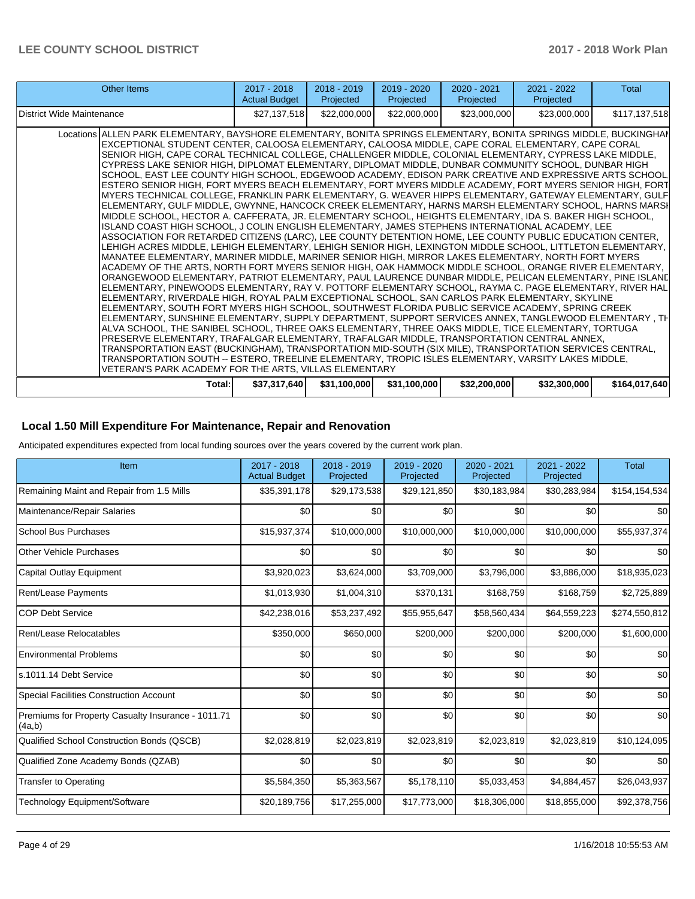| Other Items                                                                                                                                                                                                                                                                                                                                                                                                                                                                                                                                                                                                                                                                                                                                                                                                                                                                                                                                                                                                                                                                                                                                                                                                                                                                                                                                                                                                                                                                                                                                                                                                                                                                                                                                                                                                                                                                                                                                                                                                                                                                                                                                                                                                                                                                                                                                                                                                                                                                                                                                                          | $2017 - 2018$<br><b>Actual Budget</b> | $2018 - 2019$<br>Projected | 2019 - 2020<br>Projected | $2020 - 2021$<br>Projected | 2021 - 2022<br>Projected | Total         |
|----------------------------------------------------------------------------------------------------------------------------------------------------------------------------------------------------------------------------------------------------------------------------------------------------------------------------------------------------------------------------------------------------------------------------------------------------------------------------------------------------------------------------------------------------------------------------------------------------------------------------------------------------------------------------------------------------------------------------------------------------------------------------------------------------------------------------------------------------------------------------------------------------------------------------------------------------------------------------------------------------------------------------------------------------------------------------------------------------------------------------------------------------------------------------------------------------------------------------------------------------------------------------------------------------------------------------------------------------------------------------------------------------------------------------------------------------------------------------------------------------------------------------------------------------------------------------------------------------------------------------------------------------------------------------------------------------------------------------------------------------------------------------------------------------------------------------------------------------------------------------------------------------------------------------------------------------------------------------------------------------------------------------------------------------------------------------------------------------------------------------------------------------------------------------------------------------------------------------------------------------------------------------------------------------------------------------------------------------------------------------------------------------------------------------------------------------------------------------------------------------------------------------------------------------------------------|---------------------------------------|----------------------------|--------------------------|----------------------------|--------------------------|---------------|
| District Wide Maintenance                                                                                                                                                                                                                                                                                                                                                                                                                                                                                                                                                                                                                                                                                                                                                                                                                                                                                                                                                                                                                                                                                                                                                                                                                                                                                                                                                                                                                                                                                                                                                                                                                                                                                                                                                                                                                                                                                                                                                                                                                                                                                                                                                                                                                                                                                                                                                                                                                                                                                                                                            | \$27,137,518                          | \$22,000,000               | \$22,000,000             | \$23,000,000               | \$23,000,000             | \$117,137,518 |
| Locations ALLEN PARK ELEMENTARY, BAYSHORE ELEMENTARY, BONITA SPRINGS ELEMENTARY, BONITA SPRINGS MIDDLE, BUCKINGHAM<br>EXCEPTIONAL STUDENT CENTER, CALOOSA ELEMENTARY, CALOOSA MIDDLE, CAPE CORAL ELEMENTARY, CAPE CORAL<br>SENIOR HIGH, CAPE CORAL TECHNICAL COLLEGE, CHALLENGER MIDDLE, COLONIAL ELEMENTARY, CYPRESS LAKE MIDDLE,<br>CYPRESS LAKE SENIOR HIGH. DIPLOMAT ELEMENTARY. DIPLOMAT MIDDLE, DUNBAR COMMUNITY SCHOOL, DUNBAR HIGH<br>SCHOOL, EAST LEE COUNTY HIGH SCHOOL, EDGEWOOD ACADEMY, EDISON PARK CREATIVE AND EXPRESSIVE ARTS SCHOOL<br>ESTERO SENIOR HIGH, FORT MYERS BEACH ELEMENTARY, FORT MYERS MIDDLE ACADEMY, FORT MYERS SENIOR HIGH, FORT<br>MYERS TECHNICAL COLLEGE, FRANKLIN PARK ELEMENTARY, G. WEAVER HIPPS ELEMENTARY, GATEWAY ELEMENTARY, GULF<br>ELEMENTARY, GULF MIDDLE, GWYNNE, HANCOCK CREEK ELEMENTARY, HARNS MARSH ELEMENTARY SCHOOL, HARNS MARSI<br>MIDDLE SCHOOL, HECTOR A. CAFFERATA, JR. ELEMENTARY SCHOOL, HEIGHTS ELEMENTARY, IDA S. BAKER HIGH SCHOOL,<br>ISLAND COAST HIGH SCHOOL, J COLIN ENGLISH ELEMENTARY, JAMES STEPHENS INTERNATIONAL ACADEMY, LEE<br>ASSOCIATION FOR RETARDED CITIZENS (LARC), LEE COUNTY DETENTION HOME, LEE COUNTY PUBLIC EDUCATION CENTER,<br>LEHIGH ACRES MIDDLE, LEHIGH ELEMENTARY, LEHIGH SENIOR HIGH, LEXINGTON MIDDLE SCHOOL, LITTLETON ELEMENTARY,<br>MANATEE ELEMENTARY, MARINER MIDDLE, MARINER SENIOR HIGH, MIRROR LAKES ELEMENTARY, NORTH FORT MYERS<br>ACADEMY OF THE ARTS, NORTH FORT MYERS SENIOR HIGH, OAK HAMMOCK MIDDLE SCHOOL, ORANGE RIVER ELEMENTARY,<br>ORANGEWOOD ELEMENTARY, PATRIOT ELEMENTARY, PAUL LAURENCE DUNBAR MIDDLE, PELICAN ELEMENTARY, PINE ISLANC<br>ELEMENTARY, PINEWOODS ELEMENTARY, RAY V. POTTORF ELEMENTARY SCHOOL, RAYMA C. PAGE ELEMENTARY, RIVER HAL<br>ELEMENTARY, RIVERDALE HIGH, ROYAL PALM EXCEPTIONAL SCHOOL, SAN CARLOS PARK ELEMENTARY, SKYLINE<br>ELEMENTARY, SOUTH FORT MYERS HIGH SCHOOL, SOUTHWEST FLORIDA PUBLIC SERVICE ACADEMY, SPRING CREEK<br>ELEMENTARY, SUNSHINE ELEMENTARY, SUPPLY DEPARTMENT, SUPPORT SERVICES ANNEX, TANGLEWOOD ELEMENTARY , TH<br>ALVA SCHOOL, THE SANIBEL SCHOOL, THREE OAKS ELEMENTARY, THREE OAKS MIDDLE, TICE ELEMENTARY, TORTUGA<br>PRESERVE ELEMENTARY, TRAFALGAR ELEMENTARY, TRAFALGAR MIDDLE, TRANSPORTATION CENTRAL ANNEX,<br>TRANSPORTATION EAST (BUCKINGHAM), TRANSPORTATION MID-SOUTH (SIX MILE), TRANSPORTATION SERVICES CENTRAL,<br>TRANSPORTATION SOUTH -- ESTERO, TREELINE ELEMENTARY, TROPIC ISLES ELEMENTARY, VARSITY LAKES MIDDLE,<br>VETERAN'S PARK ACADEMY FOR THE ARTS. VILLAS ELEMENTARY |                                       |                            |                          |                            |                          |               |
| Total:                                                                                                                                                                                                                                                                                                                                                                                                                                                                                                                                                                                                                                                                                                                                                                                                                                                                                                                                                                                                                                                                                                                                                                                                                                                                                                                                                                                                                                                                                                                                                                                                                                                                                                                                                                                                                                                                                                                                                                                                                                                                                                                                                                                                                                                                                                                                                                                                                                                                                                                                                               | \$37,317,640                          | \$31,100,000               | \$31,100,000             | \$32,200,000               | \$32,300,000             | \$164.017.640 |

# **Local 1.50 Mill Expenditure For Maintenance, Repair and Renovation**

Anticipated expenditures expected from local funding sources over the years covered by the current work plan.

| Item                                                         | 2017 - 2018<br><b>Actual Budget</b> | 2018 - 2019<br>Projected | 2019 - 2020<br>Projected | 2020 - 2021<br>Projected | 2021 - 2022<br>Projected | <b>Total</b>  |
|--------------------------------------------------------------|-------------------------------------|--------------------------|--------------------------|--------------------------|--------------------------|---------------|
| Remaining Maint and Repair from 1.5 Mills                    | \$35,391,178                        | \$29,173,538             | \$29,121,850             | \$30,183,984             | \$30,283,984             | \$154,154,534 |
| Maintenance/Repair Salaries                                  | \$0                                 | \$0                      | \$0                      | \$0                      | \$0                      | \$0           |
| <b>School Bus Purchases</b>                                  | \$15,937,374                        | \$10,000,000             | \$10,000,000             | \$10,000,000             | \$10,000,000             | \$55,937,374  |
| Other Vehicle Purchases                                      | \$0                                 | \$0                      | \$0                      | \$0                      | \$0                      | \$0           |
| <b>Capital Outlay Equipment</b>                              | \$3,920,023                         | \$3,624,000              | \$3,709,000              | \$3,796,000              | \$3,886,000              | \$18,935,023  |
| Rent/Lease Payments                                          | \$1,013,930                         | \$1,004,310              | \$370,131                | \$168,759                | \$168,759                | \$2,725,889   |
| <b>COP Debt Service</b>                                      | \$42,238,016                        | \$53,237,492             | \$55,955,647             | \$58,560,434             | \$64,559,223             | \$274,550,812 |
| Rent/Lease Relocatables                                      | \$350,000                           | \$650,000                | \$200,000                | \$200,000                | \$200,000                | \$1,600,000   |
| <b>Environmental Problems</b>                                | \$0                                 | \$0                      | \$0                      | \$0                      | \$0                      | \$0           |
| ls.1011.14 Debt Service                                      | \$0                                 | \$0                      | \$0                      | \$0                      | \$0                      | \$0           |
| <b>Special Facilities Construction Account</b>               | \$0                                 | \$0                      | \$0                      | \$0                      | \$0                      | \$0           |
| Premiums for Property Casualty Insurance - 1011.71<br>(4a,b) | \$0                                 | \$0                      | \$0                      | \$0                      | \$0                      | \$0           |
| Qualified School Construction Bonds (QSCB)                   | \$2,028,819                         | \$2,023,819              | \$2,023,819              | \$2,023,819              | \$2,023,819              | \$10,124,095  |
| Qualified Zone Academy Bonds (QZAB)                          | \$0                                 | \$0                      | \$0                      | \$0                      | \$0                      | \$0           |
| <b>Transfer to Operating</b>                                 | \$5,584,350                         | \$5,363,567              | \$5,178,110              | \$5,033,453              | \$4,884,457              | \$26,043,937  |
| Technology Equipment/Software                                | \$20,189,756                        | \$17,255,000             | \$17,773,000             | \$18,306,000             | \$18,855,000             | \$92,378,756  |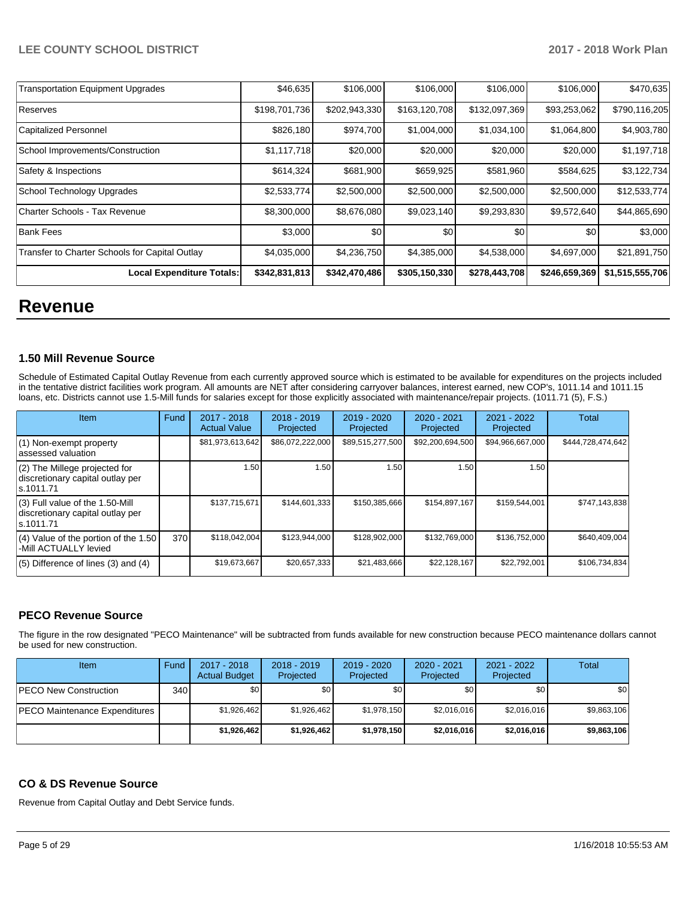| <b>Transportation Equipment Upgrades</b>       | \$46,635      | \$106,000     | \$106,000     | \$106,000     | \$106,000     | \$470,635       |
|------------------------------------------------|---------------|---------------|---------------|---------------|---------------|-----------------|
| Reserves                                       | \$198,701,736 | \$202,943,330 | \$163,120,708 | \$132,097,369 | \$93,253,062  | \$790,116,205   |
| Capitalized Personnel                          | \$826,180     | \$974,700     | \$1,004,000   | \$1,034,100   | \$1,064,800   | \$4,903,780     |
| School Improvements/Construction               | \$1,117,718   | \$20,000      | \$20,000      | \$20,000      | \$20,000      | \$1,197,718     |
| Safety & Inspections                           | \$614,324     | \$681,900     | \$659,925     | \$581,960     | \$584,625     | \$3,122,734     |
| School Technology Upgrades                     | \$2,533,774   | \$2,500,000   | \$2,500,000   | \$2,500,000   | \$2,500,000   | \$12,533,774    |
| Charter Schools - Tax Revenue                  | \$8,300,000   | \$8,676,080   | \$9,023,140   | \$9,293,830   | \$9,572,640   | \$44,865,690    |
| Bank Fees                                      | \$3,000       | \$0           | \$0           | \$0           | \$0           | \$3,000         |
| Transfer to Charter Schools for Capital Outlay | \$4,035,000   | \$4,236,750   | \$4,385,000   | \$4,538,000   | \$4,697,000   | \$21,891,750    |
| Local Expenditure Totals:                      | \$342,831,813 | \$342,470,486 | \$305,150,330 | \$278,443,708 | \$246,659,369 | \$1,515,555,706 |

# **Revenue**

#### **1.50 Mill Revenue Source**

Schedule of Estimated Capital Outlay Revenue from each currently approved source which is estimated to be available for expenditures on the projects included in the tentative district facilities work program. All amounts are NET after considering carryover balances, interest earned, new COP's, 1011.14 and 1011.15 loans, etc. Districts cannot use 1.5-Mill funds for salaries except for those explicitly associated with maintenance/repair projects. (1011.71 (5), F.S.)

| Item                                                                              | Fund | $2017 - 2018$<br><b>Actual Value</b> | $2018 - 2019$<br>Projected | $2019 - 2020$<br>Projected | $2020 - 2021$<br>Projected | 2021 - 2022<br>Projected | Total             |
|-----------------------------------------------------------------------------------|------|--------------------------------------|----------------------------|----------------------------|----------------------------|--------------------------|-------------------|
| (1) Non-exempt property<br>lassessed valuation                                    |      | \$81,973,613,642                     | \$86,072,222,000           | \$89,515,277,500           | \$92,200,694,500           | \$94,966,667,000         | \$444,728,474,642 |
| $(2)$ The Millege projected for<br>discretionary capital outlay per<br>ls.1011.71 |      | 1.50                                 | 1.50                       | 1.50                       | 1.50                       | 1.50                     |                   |
| (3) Full value of the 1.50-Mill<br>discretionary capital outlay per<br>ls.1011.71 |      | \$137,715,671                        | \$144,601,333              | \$150,385,666              | \$154,897,167              | \$159,544,001            | \$747,143,838     |
| (4) Value of the portion of the 1.50<br>-Mill ACTUALLY levied                     | 370  | \$118,042,004                        | \$123,944,000              | \$128,902,000              | \$132,769,000              | \$136,752,000            | \$640.409.004     |
| $(5)$ Difference of lines $(3)$ and $(4)$                                         |      | \$19,673,667                         | \$20,657,333               | \$21,483,666               | \$22,128,167               | \$22,792,001             | \$106,734,834     |

## **PECO Revenue Source**

The figure in the row designated "PECO Maintenance" will be subtracted from funds available for new construction because PECO maintenance dollars cannot be used for new construction.

| Item                                 | Fund | 2017 - 2018<br><b>Actual Budget</b> | $2018 - 2019$<br>Projected | $2019 - 2020$<br>Projected | 2020 - 2021<br>Projected | $2021 - 2022$<br>Projected | <b>Total</b> |
|--------------------------------------|------|-------------------------------------|----------------------------|----------------------------|--------------------------|----------------------------|--------------|
| <b>IPECO New Construction</b>        | 340  | \$0                                 | \$0                        | \$0                        | \$0                      | \$0                        | \$0          |
| <b>PECO Maintenance Expenditures</b> |      | \$1.926.462                         | \$1.926.462                | \$1,978,150                | \$2,016,016              | \$2,016,016                | \$9.863.106  |
|                                      |      | \$1,926,462                         | \$1.926.462                | \$1,978,150                | \$2,016,016              | \$2,016,016                | \$9,863,106  |

# **CO & DS Revenue Source**

Revenue from Capital Outlay and Debt Service funds.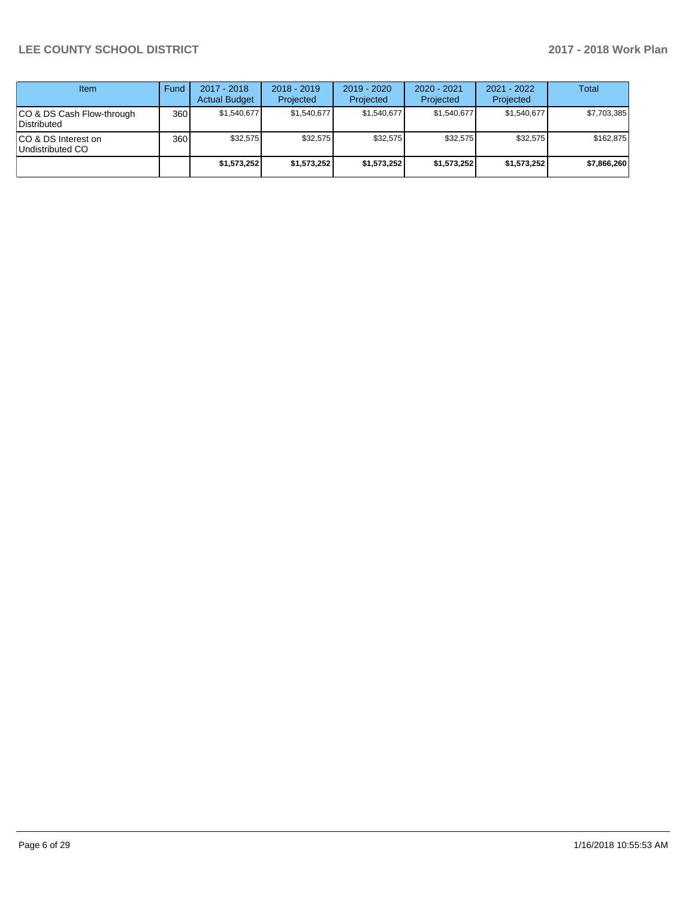| <b>Item</b>                               | Fund | $2017 - 2018$<br><b>Actual Budget</b> | $2018 - 2019$<br>Projected | $2019 - 2020$<br>Projected | $2020 - 2021$<br>Projected | 2021 - 2022<br>Projected | <b>Total</b> |
|-------------------------------------------|------|---------------------------------------|----------------------------|----------------------------|----------------------------|--------------------------|--------------|
| ICO & DS Cash Flow-through<br>Distributed | 360  | \$1.540.677                           | \$1,540,677                | \$1,540,677                | \$1.540.677                | \$1,540,677              | \$7,703,385  |
| ICO & DS Interest on<br>Undistributed CO  | 360  | \$32.575                              | \$32.575                   | \$32.575                   | \$32.575                   | \$32,575                 | \$162.875    |
|                                           |      | \$1,573,252                           | \$1,573,252                | \$1,573,252                | \$1,573,252                | \$1,573,252              | \$7,866,260  |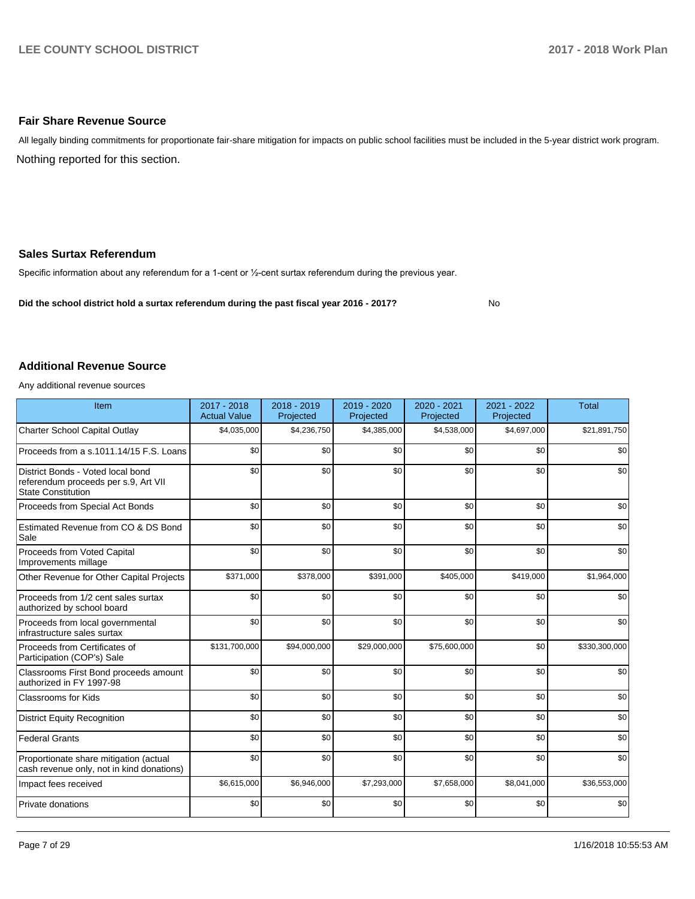#### **Fair Share Revenue Source**

Nothing reported for this section. All legally binding commitments for proportionate fair-share mitigation for impacts on public school facilities must be included in the 5-year district work program.

#### **Sales Surtax Referendum**

Specific information about any referendum for a 1-cent or 1/2-cent surtax referendum during the previous year.

**Did the school district hold a surtax referendum during the past fiscal year 2016 - 2017?**

No

#### **Additional Revenue Source**

Any additional revenue sources

| Item                                                                                                   | 2017 - 2018<br><b>Actual Value</b> | 2018 - 2019<br>Projected | 2019 - 2020<br>Projected | 2020 - 2021<br>Projected | 2021 - 2022<br>Projected | <b>Total</b>  |
|--------------------------------------------------------------------------------------------------------|------------------------------------|--------------------------|--------------------------|--------------------------|--------------------------|---------------|
| Charter School Capital Outlay                                                                          | \$4,035,000                        | \$4,236,750              | \$4,385,000              | \$4,538,000              | \$4,697,000              | \$21,891,750  |
| Proceeds from a s.1011.14/15 F.S. Loans                                                                | \$0                                | \$0                      | \$0                      | \$0                      | \$0                      | \$0           |
| District Bonds - Voted local bond<br>referendum proceeds per s.9, Art VII<br><b>State Constitution</b> | \$0                                | \$0                      | \$0                      | \$0                      | \$0                      | \$0           |
| Proceeds from Special Act Bonds                                                                        | \$0                                | \$0                      | \$0                      | \$0                      | \$0                      | \$0           |
| Estimated Revenue from CO & DS Bond<br>Sale                                                            | \$0                                | \$0                      | \$0                      | \$0                      | \$0                      | \$0           |
| Proceeds from Voted Capital<br>Improvements millage                                                    | \$0                                | \$0                      | \$0                      | \$0                      | \$0                      | \$0           |
| Other Revenue for Other Capital Projects                                                               | \$371,000                          | \$378,000                | \$391,000                | \$405,000                | \$419,000                | \$1,964,000   |
| Proceeds from 1/2 cent sales surtax<br>authorized by school board                                      | \$0                                | \$0                      | \$0                      | \$0                      | \$0                      | \$0           |
| Proceeds from local governmental<br>infrastructure sales surtax                                        | \$0                                | \$0                      | \$0                      | \$0                      | \$0                      | \$0           |
| Proceeds from Certificates of<br>Participation (COP's) Sale                                            | \$131,700,000                      | \$94,000,000             | \$29,000,000             | \$75,600,000             | \$0                      | \$330,300,000 |
| Classrooms First Bond proceeds amount<br>authorized in FY 1997-98                                      | \$0                                | \$0                      | \$0                      | \$0                      | \$0                      | \$0           |
| Classrooms for Kids                                                                                    | \$0                                | \$0                      | \$0                      | \$0                      | \$0                      | \$0           |
| <b>District Equity Recognition</b>                                                                     | \$0                                | \$0                      | \$0                      | \$0                      | \$0                      | \$0           |
| <b>Federal Grants</b>                                                                                  | \$0                                | \$0                      | \$0                      | \$0                      | \$0                      | \$0           |
| Proportionate share mitigation (actual<br>cash revenue only, not in kind donations)                    | \$0                                | \$0                      | \$0                      | \$0                      | \$0                      | \$0           |
| Impact fees received                                                                                   | \$6,615,000                        | \$6,946,000              | \$7,293,000              | \$7,658,000              | \$8,041,000              | \$36,553,000  |
| Private donations                                                                                      | \$0                                | \$0                      | \$0                      | \$0                      | \$0                      | \$0           |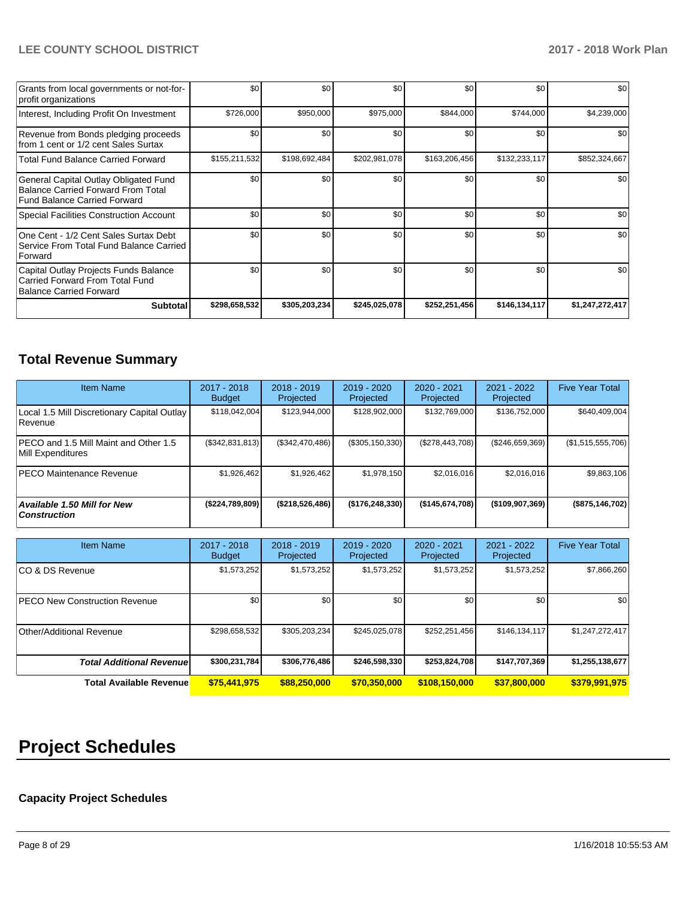| Grants from local governments or not-for-<br>profit organizations                                                         | \$0           | \$0 <sub>1</sub> | \$0           | \$0           | \$0           | \$0             |
|---------------------------------------------------------------------------------------------------------------------------|---------------|------------------|---------------|---------------|---------------|-----------------|
| Interest, Including Profit On Investment                                                                                  | \$726,000     | \$950,000        | \$975,000     | \$844,000     | \$744,000     | \$4,239,000     |
| Revenue from Bonds pledging proceeds<br>from 1 cent or 1/2 cent Sales Surtax                                              | \$0           | \$0 <sub>1</sub> | \$0           | \$0           | \$0           | \$0             |
| <b>Total Fund Balance Carried Forward</b>                                                                                 | \$155,211,532 | \$198,692,484    | \$202,981,078 | \$163,206,456 | \$132,233,117 | \$852,324,667   |
| General Capital Outlay Obligated Fund<br><b>Balance Carried Forward From Total</b><br><b>Fund Balance Carried Forward</b> | \$0           | \$0 <sub>1</sub> | \$0           | \$0           | \$0           | \$0             |
| <b>Special Facilities Construction Account</b>                                                                            | \$0           | \$0 <sub>1</sub> | \$0           | \$0           | \$0           | \$0             |
| One Cent - 1/2 Cent Sales Surtax Debt<br>Service From Total Fund Balance Carried<br>Forward                               | \$0           | \$0 <sub>1</sub> | \$0           | \$0           | \$0           | \$0             |
| Capital Outlay Projects Funds Balance<br>Carried Forward From Total Fund<br><b>Balance Carried Forward</b>                | \$0           | \$0              | \$0           | \$0           | \$0           | \$0             |
| <b>Subtotal</b>                                                                                                           | \$298,658,532 | \$305,203,234    | \$245,025,078 | \$252,251,456 | \$146,134,117 | \$1,247,272,417 |

# **Total Revenue Summary**

| <b>Item Name</b>                                           | 2017 - 2018<br><b>Budget</b> | $2018 - 2019$<br>Projected | $2019 - 2020$<br>Projected | 2020 - 2021<br>Projected | 2021 - 2022<br>Projected | <b>Five Year Total</b> |
|------------------------------------------------------------|------------------------------|----------------------------|----------------------------|--------------------------|--------------------------|------------------------|
| Local 1.5 Mill Discretionary Capital Outlay<br>l Revenue   | \$118,042,004                | \$123,944,000              | \$128,902,000              | \$132,769,000            | \$136,752,000            | \$640,409,004          |
| PECO and 1.5 Mill Maint and Other 1.5<br>Mill Expenditures | (\$342,831,813)              | (\$342,470,486)            | (\$305, 150, 330)          | (\$278,443,708)          | $(\$246,659,369)$        | (\$1,515,555,706)      |
| <b>PECO Maintenance Revenue</b>                            | \$1,926,462                  | \$1.926.462                | \$1,978,150                | \$2.016.016              | \$2.016.016              | \$9,863,106            |
| Available 1.50 Mill for New<br><b>Construction</b>         | (\$224,789,809)              | (\$218,526,486)            | (\$176, 248, 330)          | (\$145,674,708)          | ( \$109, 907, 369)       | (\$875,146,702)        |

| <b>Item Name</b>                      | 2017 - 2018<br><b>Budget</b> | $2018 - 2019$<br>Projected | 2019 - 2020<br>Projected | 2020 - 2021<br>Projected | 2021 - 2022<br>Projected | <b>Five Year Total</b> |
|---------------------------------------|------------------------------|----------------------------|--------------------------|--------------------------|--------------------------|------------------------|
| ICO & DS Revenue                      | \$1,573,252                  | \$1,573,252                | \$1,573,252              | \$1,573,252              | \$1,573,252              | \$7,866,260            |
| <b>IPECO New Construction Revenue</b> | \$0                          | \$0                        | \$0                      | \$0                      | \$0                      | \$0                    |
| Other/Additional Revenue              | \$298,658,532                | \$305,203,234              | \$245,025,078            | \$252,251,456            | \$146,134,117            | \$1,247,272,417        |
| <b>Total Additional Revenuel</b>      | \$300,231,784                | \$306,776,486              | \$246,598,330            | \$253,824,708            | \$147,707,369            | \$1,255,138,677        |
| <b>Total Available Revenue</b>        | \$75,441,975                 | \$88,250,000               | \$70,350,000             | \$108,150,000            | \$37,800,000             | \$379,991,975          |

# **Project Schedules**

# **Capacity Project Schedules**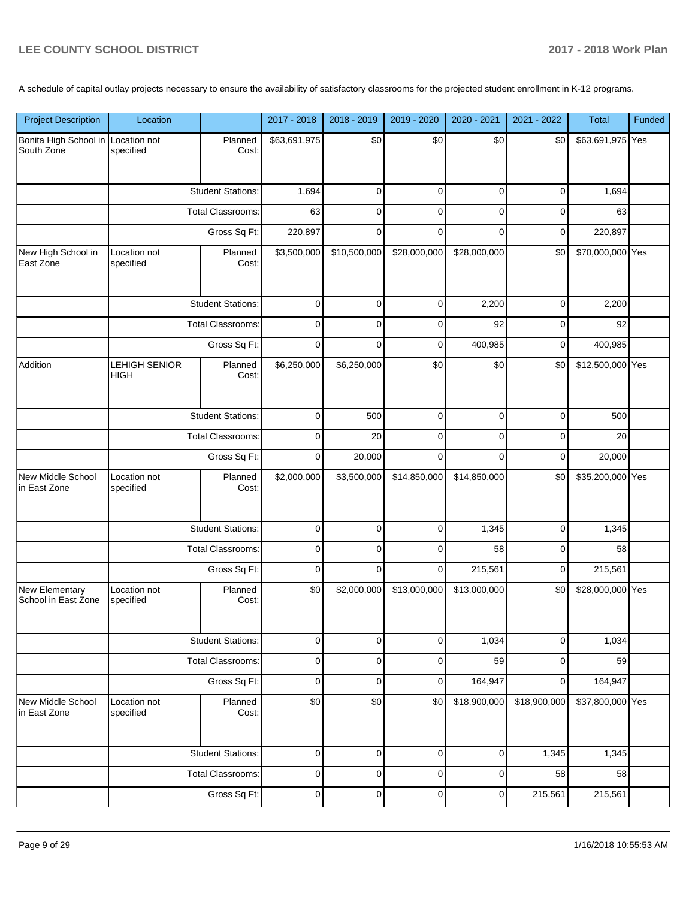A schedule of capital outlay projects necessary to ensure the availability of satisfactory classrooms for the projected student enrollment in K-12 programs.

| <b>Project Description</b>                       | Location                  |                          | 2017 - 2018  | 2018 - 2019  | 2019 - 2020  | 2020 - 2021  | 2021 - 2022  | Total            | Funded |
|--------------------------------------------------|---------------------------|--------------------------|--------------|--------------|--------------|--------------|--------------|------------------|--------|
| Bonita High School in Location not<br>South Zone | specified                 | Planned<br>Cost:         | \$63,691,975 | \$0          | \$0          | \$0          | \$0          | \$63,691,975 Yes |        |
|                                                  |                           | <b>Student Stations:</b> | 1,694        | $\mathbf 0$  | 0            | 0            | 0            | 1,694            |        |
|                                                  | <b>Total Classrooms:</b>  |                          | 63           | $\Omega$     | $\Omega$     | $\Omega$     | $\Omega$     | 63               |        |
|                                                  | Gross Sq Ft:              |                          | 220,897      | $\mathbf 0$  | $\Omega$     | $\Omega$     | 0            | 220,897          |        |
| New High School in<br>East Zone                  | Location not<br>specified | Planned<br>Cost:         | \$3,500,000  | \$10,500,000 | \$28,000,000 | \$28,000,000 | \$0          | \$70,000,000 Yes |        |
|                                                  |                           | <b>Student Stations:</b> | $\mathbf 0$  | $\mathbf 0$  | 0            | 2,200        | 0            | 2,200            |        |
|                                                  |                           | Total Classrooms:        | $\mathbf 0$  | $\mathbf 0$  | 0            | 92           | 0            | 92               |        |
|                                                  |                           | Gross Sq Ft:             | $\mathbf 0$  | $\Omega$     | 0            | 400,985      | $\mathbf 0$  | 400,985          |        |
| Addition                                         | LEHIGH SENIOR<br>HIGH     | Planned<br>Cost:         | \$6,250,000  | \$6,250,000  | \$0          | \$0          | \$0          | \$12,500,000 Yes |        |
|                                                  |                           | <b>Student Stations:</b> | $\mathbf 0$  | 500          | 0            | $\Omega$     | $\Omega$     | 500              |        |
|                                                  | <b>Total Classrooms:</b>  |                          | 0            | 20           | $\mathbf 0$  | $\Omega$     | 0            | 20               |        |
|                                                  |                           | Gross Sq Ft:             |              | 20,000       | $\Omega$     | $\Omega$     | $\Omega$     | 20,000           |        |
| New Middle School<br>in East Zone                | Location not<br>specified | Planned<br>Cost:         | \$2,000,000  | \$3,500,000  | \$14,850,000 | \$14,850,000 | \$0          | \$35,200,000 Yes |        |
|                                                  |                           | <b>Student Stations:</b> | $\mathbf 0$  | $\mathbf 0$  | 0            | 1,345        | 0            | 1,345            |        |
|                                                  |                           | Total Classrooms:        | $\mathbf 0$  | $\mathbf 0$  | 0            | 58           | 0            | 58               |        |
|                                                  |                           | Gross Sq Ft:             | $\mathbf 0$  | $\mathbf 0$  | 0            | 215,561      | 0            | 215,561          |        |
| <b>New Elementary</b><br>School in East Zone     | Location not<br>specified | Planned<br>Cost:         | \$0          | \$2,000,000  | \$13,000,000 | \$13,000,000 | \$0          | \$28,000,000 Yes |        |
|                                                  |                           | <b>Student Stations:</b> | $\mathbf 0$  | 0            | 0            | 1,034        | 0            | 1,034            |        |
|                                                  |                           | <b>Total Classrooms:</b> | $\mathbf 0$  | $\mathbf 0$  | 0            | 59           | 0            | 59               |        |
|                                                  |                           | Gross Sq Ft:             | 0            | $\mathbf 0$  | 0            | 164,947      | 0            | 164,947          |        |
| New Middle School<br>in East Zone                | Location not<br>specified | Planned<br>Cost:         | \$0          | \$0          | \$0          | \$18,900,000 | \$18,900,000 | \$37,800,000 Yes |        |
|                                                  |                           | <b>Student Stations:</b> | $\mathbf 0$  | $\mathbf 0$  | 0            | 0            | 1,345        | 1,345            |        |
|                                                  |                           | Total Classrooms:        | $\mathbf 0$  | $\mathbf 0$  | 0            | 0            | 58           | 58               |        |
|                                                  |                           | Gross Sq Ft:             | $\pmb{0}$    | $\mathbf 0$  | 0            | 0            | 215,561      | 215,561          |        |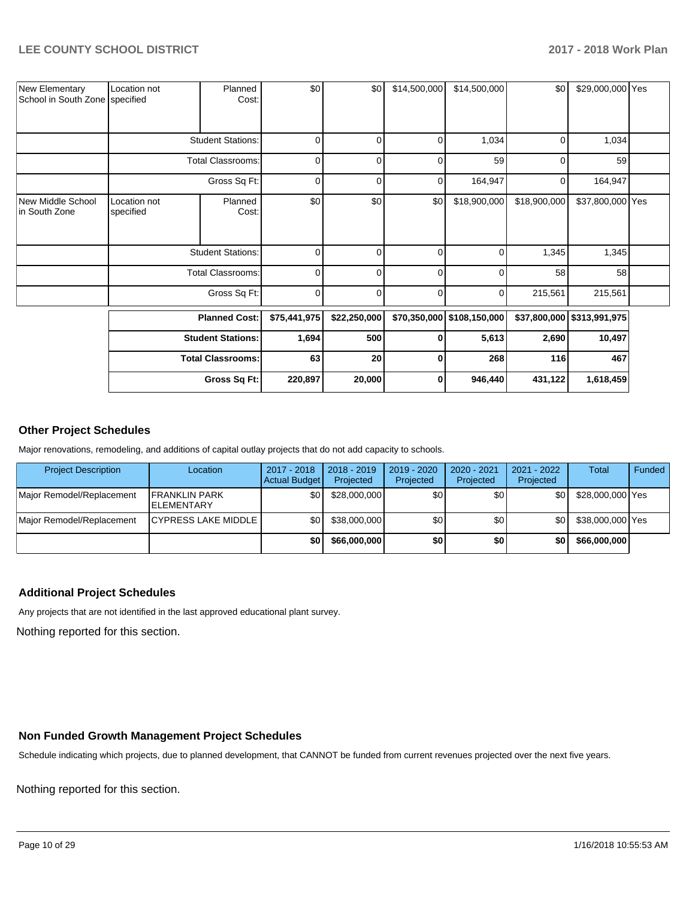| <b>New Elementary</b><br>School in South Zone specified | Location not              | Planned<br>Cost:         | \$0          | \$0          | \$14,500,000   | \$14,500,000               | \$0          | \$29,000,000 Yes           |  |
|---------------------------------------------------------|---------------------------|--------------------------|--------------|--------------|----------------|----------------------------|--------------|----------------------------|--|
|                                                         |                           | <b>Student Stations:</b> | 0            | 0            | $\overline{0}$ | 1,034                      | 0            | 1,034                      |  |
|                                                         |                           | <b>Total Classrooms:</b> | $\mathbf 0$  | 0            | 0              | 59                         | 0            | 59                         |  |
|                                                         |                           | Gross Sq Ft:             | 0            | 0            | $\overline{0}$ | 164,947                    | 0            | 164,947                    |  |
| New Middle School<br>in South Zone                      | Location not<br>specified | Planned<br>Cost:         | \$0          | \$0          | \$0            | \$18,900,000               | \$18,900,000 | \$37,800,000 Yes           |  |
|                                                         |                           | <b>Student Stations:</b> | $\mathbf 0$  | $\Omega$     | $\mathbf 0$    | $\Omega$                   | 1,345        | 1,345                      |  |
|                                                         |                           | <b>Total Classrooms:</b> | 0            | 0            | $\mathbf 0$    | $\overline{0}$             | 58           | 58                         |  |
|                                                         |                           | Gross Sq Ft:             | $\mathbf 0$  | 0            | 0              | 0                          | 215,561      | 215,561                    |  |
|                                                         |                           | <b>Planned Cost:</b>     | \$75,441,975 | \$22,250,000 |                | \$70,350,000 \$108,150,000 |              | \$37,800,000 \$313,991,975 |  |
|                                                         |                           | <b>Student Stations:</b> | 1,694        | 500          | $\mathbf{0}$   | 5,613                      | 2,690        | 10,497                     |  |
|                                                         |                           | <b>Total Classrooms:</b> | 63           | 20           | $\bf{0}$       | 268                        | 116          | 467                        |  |
|                                                         |                           | Gross Sq Ft:             | 220,897      | 20,000       | $\mathbf{0}$   | 946,440                    | 431,122      | 1,618,459                  |  |

#### **Other Project Schedules**

Major renovations, remodeling, and additions of capital outlay projects that do not add capacity to schools.

| <b>Project Description</b> | Location                                   | 2017 - 2018<br>Actual Budget | $2018 - 2019$<br>Projected | 2019 - 2020<br>Projected | 2020 - 2021<br>Projected | 2021 - 2022<br>Projected | <b>Total</b>     | Funded |
|----------------------------|--------------------------------------------|------------------------------|----------------------------|--------------------------|--------------------------|--------------------------|------------------|--------|
| Major Remodel/Replacement  | <b>IFRANKLIN PARK</b><br><b>ELEMENTARY</b> | ا80                          | \$28,000,000               | \$٥١                     | ا 30                     | \$0                      | \$28,000,000 Yes |        |
| Major Remodel/Replacement  | <b>ICYPRESS LAKE MIDDLE</b>                | \$0 I                        | \$38,000,000               | \$0                      | ا 30                     | \$0                      | \$38,000,000 Yes |        |
|                            |                                            | \$0                          | \$66,000,000               | \$0                      | \$0                      | \$0                      | \$66,000,000     |        |

## **Additional Project Schedules**

Any projects that are not identified in the last approved educational plant survey.

Nothing reported for this section.

#### **Non Funded Growth Management Project Schedules**

Schedule indicating which projects, due to planned development, that CANNOT be funded from current revenues projected over the next five years.

Nothing reported for this section.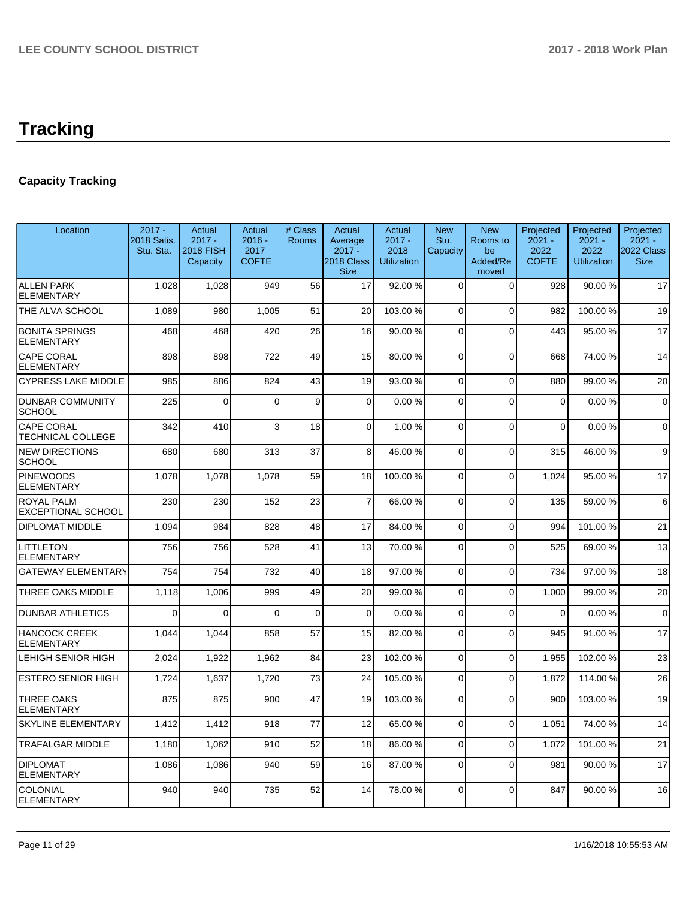# **Tracking**

# **Capacity Tracking**

| Location                                       | $2017 -$<br>2018 Satis.<br>Stu. Sta. | Actual<br>$2017 -$<br><b>2018 FISH</b><br>Capacity | Actual<br>$2016 -$<br>2017<br><b>COFTE</b> | # Class<br><b>Rooms</b> | Actual<br>Average<br>$2017 -$<br>2018 Class<br><b>Size</b> | Actual<br>$2017 -$<br>2018<br><b>Utilization</b> | <b>New</b><br>Stu.<br>Capacity | <b>New</b><br>Rooms to<br>be<br>Added/Re<br>moved | Projected<br>$2021 -$<br>2022<br><b>COFTE</b> | Projected<br>$2021 -$<br>2022<br><b>Utilization</b> | Projected<br>$2021 -$<br>2022 Class<br><b>Size</b> |
|------------------------------------------------|--------------------------------------|----------------------------------------------------|--------------------------------------------|-------------------------|------------------------------------------------------------|--------------------------------------------------|--------------------------------|---------------------------------------------------|-----------------------------------------------|-----------------------------------------------------|----------------------------------------------------|
| <b>ALLEN PARK</b><br><b>ELEMENTARY</b>         | 1,028                                | 1,028                                              | 949                                        | 56                      | 17                                                         | 92.00%                                           | $\Omega$                       | $\Omega$                                          | 928                                           | 90.00 %                                             | 17                                                 |
| THE ALVA SCHOOL                                | 1,089                                | 980                                                | 1,005                                      | 51                      | 20                                                         | 103.00%                                          | $\Omega$                       | $\mathbf{0}$                                      | 982                                           | 100.00%                                             | 19                                                 |
| <b>BONITA SPRINGS</b><br><b>ELEMENTARY</b>     | 468                                  | 468                                                | 420                                        | 26                      | 16                                                         | 90.00%                                           | $\Omega$                       | $\Omega$                                          | 443                                           | 95.00 %                                             | 17                                                 |
| <b>CAPE CORAL</b><br><b>ELEMENTARY</b>         | 898                                  | 898                                                | 722                                        | 49                      | 15                                                         | 80.00%                                           | $\Omega$                       | $\Omega$                                          | 668                                           | 74.00%                                              | 14                                                 |
| <b>CYPRESS LAKE MIDDLE</b>                     | 985                                  | 886                                                | 824                                        | 43                      | 19                                                         | 93.00%                                           | $\Omega$                       | $\Omega$                                          | 880                                           | 99.00 %                                             | 20                                                 |
| <b>DUNBAR COMMUNITY</b><br><b>SCHOOL</b>       | 225                                  | $\mathbf{0}$                                       | $\Omega$                                   | 9                       | $\Omega$                                                   | 0.00%                                            | $\Omega$                       | $\mathbf{0}$                                      | $\mathbf{0}$                                  | 0.00%                                               | $\mathbf 0$                                        |
| <b>CAPE CORAL</b><br><b>TECHNICAL COLLEGE</b>  | 342                                  | 410                                                | 3                                          | 18                      | 0                                                          | 1.00 %                                           | 0                              | $\mathbf 0$                                       | 0                                             | 0.00%                                               | $\mathbf 0$                                        |
| <b>NEW DIRECTIONS</b><br><b>SCHOOL</b>         | 680                                  | 680                                                | 313                                        | 37                      | 8                                                          | 46.00%                                           | $\mathbf 0$                    | $\mathbf{0}$                                      | 315                                           | 46.00%                                              | 9                                                  |
| <b>PINEWOODS</b><br><b>ELEMENTARY</b>          | 1,078                                | 1,078                                              | 1,078                                      | 59                      | 18                                                         | 100.00%                                          | $\Omega$                       | $\mathbf{0}$                                      | 1,024                                         | 95.00 %                                             | 17                                                 |
| <b>ROYAL PALM</b><br><b>EXCEPTIONAL SCHOOL</b> | 230                                  | 230                                                | 152                                        | 23                      | $\overline{7}$                                             | 66.00%                                           | 0                              | $\mathbf 0$                                       | 135                                           | 59.00 %                                             | 6                                                  |
| <b>DIPLOMAT MIDDLE</b>                         | 1,094                                | 984                                                | 828                                        | 48                      | 17                                                         | 84.00%                                           | 0                              | $\mathbf 0$                                       | 994                                           | 101.00%                                             | 21                                                 |
| <b>LITTLETON</b><br><b>ELEMENTARY</b>          | 756                                  | 756                                                | 528                                        | 41                      | 13                                                         | 70.00%                                           | $\Omega$                       | $\Omega$                                          | 525                                           | 69.00 %                                             | 13                                                 |
| <b>GATEWAY ELEMENTARY</b>                      | 754                                  | 754                                                | 732                                        | 40                      | 18                                                         | 97.00 %                                          | $\Omega$                       | $\mathbf{0}$                                      | 734                                           | 97.00 %                                             | 18                                                 |
| THREE OAKS MIDDLE                              | 1,118                                | 1,006                                              | 999                                        | 49                      | 20                                                         | 99.00 %                                          | $\Omega$                       | $\Omega$                                          | 1,000                                         | 99.00 %                                             | 20                                                 |
| <b>DUNBAR ATHLETICS</b>                        | $\Omega$                             | 0                                                  | $\Omega$                                   | $\mathbf{0}$            | $\Omega$                                                   | 0.00%                                            | $\Omega$                       | $\mathbf{0}$                                      | $\Omega$                                      | 0.00%                                               | $\mathbf 0$                                        |
| <b>HANCOCK CREEK</b><br><b>ELEMENTARY</b>      | 1,044                                | 1,044                                              | 858                                        | 57                      | 15                                                         | 82.00%                                           | $\Omega$                       | $\Omega$                                          | 945                                           | 91.00%                                              | 17                                                 |
| <b>LEHIGH SENIOR HIGH</b>                      | 2,024                                | 1,922                                              | 1,962                                      | 84                      | 23                                                         | 102.00%                                          | $\Omega$                       | $\Omega$                                          | 1,955                                         | 102.00%                                             | 23                                                 |
| ESTERO SENIOR HIGH                             | 1,724                                | 1,637                                              | 1,720                                      | 73                      | 24                                                         | 105.00 %                                         | 0                              | $\Omega$                                          | 1,872                                         | 114.00 %                                            | 26                                                 |
| <b>THREE OAKS</b><br><b>ELEMENTARY</b>         | 875                                  | 875                                                | 900                                        | 47                      | 19                                                         | 103.00%                                          | $\Omega$                       | $\Omega$                                          | 900                                           | 103.00 %                                            | 19                                                 |
| <b>SKYLINE ELEMENTARY</b>                      | 1.412                                | 1.412                                              | 918                                        | 77                      | 12                                                         | 65.00 %                                          | $\Omega$                       | $\Omega$                                          | 1.051                                         | 74.00 %                                             | 14                                                 |
| <b>TRAFALGAR MIDDLE</b>                        | 1,180                                | 1,062                                              | 910                                        | 52                      | 18                                                         | 86.00%                                           | $\Omega$                       | $\Omega$                                          | 1,072                                         | 101.00%                                             | 21                                                 |
| <b>DIPLOMAT</b><br><b>ELEMENTARY</b>           | 1,086                                | 1,086                                              | 940                                        | 59                      | 16                                                         | 87.00 %                                          | $\Omega$                       | $\Omega$                                          | 981                                           | 90.00 %                                             | 17                                                 |
| COLONIAL<br><b>ELEMENTARY</b>                  | 940                                  | 940                                                | 735                                        | 52                      | 14                                                         | 78.00%                                           | $\Omega$                       | $\Omega$                                          | 847                                           | 90.00 %                                             | 16                                                 |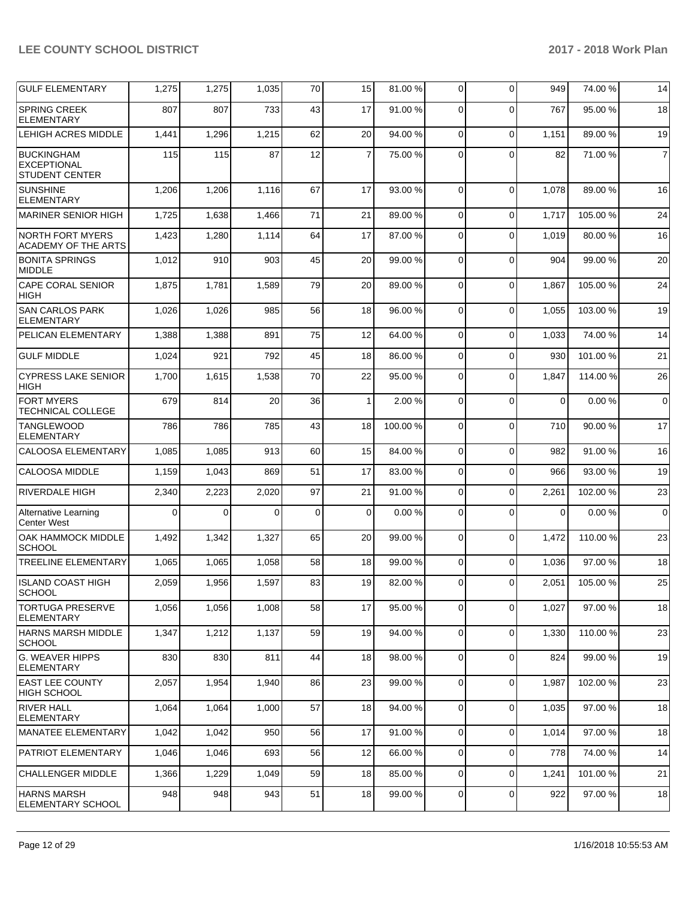| <b>GULF ELEMENTARY</b>                                           | 1,275    | 1,275 | 1,035 | 70 | 15             | 81.00 % | $\overline{0}$ | $\Omega$    | 949      | 74.00 %  | 14             |
|------------------------------------------------------------------|----------|-------|-------|----|----------------|---------|----------------|-------------|----------|----------|----------------|
| <b>SPRING CREEK</b><br><b>ELEMENTARY</b>                         | 807      | 807   | 733   | 43 | 17             | 91.00 % | $\Omega$       | $\Omega$    | 767      | 95.00 %  | 18             |
| LEHIGH ACRES MIDDLE                                              | 1,441    | 1,296 | 1,215 | 62 | 20             | 94.00 % | $\mathbf 0$    | $\Omega$    | 1,151    | 89.00 %  | 19             |
| <b>BUCKINGHAM</b><br><b>EXCEPTIONAL</b><br><b>STUDENT CENTER</b> | 115      | 115   | 87    | 12 | $\overline{7}$ | 75.00 % | 0              | $\Omega$    | 82       | 71.00 %  | $\overline{7}$ |
| <b>SUNSHINE</b><br><b>ELEMENTARY</b>                             | 1,206    | 1,206 | 1,116 | 67 | 17             | 93.00 % | $\Omega$       | $\Omega$    | 1,078    | 89.00 %  | 16             |
| <b>MARINER SENIOR HIGH</b>                                       | 1,725    | 1,638 | 1,466 | 71 | 21             | 89.00 % | $\mathbf 0$    | $\Omega$    | 1,717    | 105.00 % | 24             |
| <b>NORTH FORT MYERS</b><br>ACADEMY OF THE ARTS                   | 1,423    | 1,280 | 1,114 | 64 | 17             | 87.00 % | $\mathbf 0$    | $\Omega$    | 1,019    | 80.00%   | 16             |
| <b>BONITA SPRINGS</b><br><b>MIDDLE</b>                           | 1,012    | 910   | 903   | 45 | 20             | 99.00 % | 0              | $\Omega$    | 904      | 99.00 %  | 20             |
| CAPE CORAL SENIOR<br><b>HIGH</b>                                 | 1,875    | 1,781 | 1,589 | 79 | 20             | 89.00 % | 0              | $\Omega$    | 1,867    | 105.00%  | 24             |
| <b>SAN CARLOS PARK</b><br><b>ELEMENTARY</b>                      | 1,026    | 1,026 | 985   | 56 | 18             | 96.00 % | $\Omega$       | $\Omega$    | 1,055    | 103.00%  | 19             |
| PELICAN ELEMENTARY                                               | 1,388    | 1,388 | 891   | 75 | 12             | 64.00 % | 0              | $\Omega$    | 1,033    | 74.00 %  | 14             |
| <b>GULF MIDDLE</b>                                               | 1,024    | 921   | 792   | 45 | 18             | 86.00 % | 0              | $\Omega$    | 930      | 101.00%  | 21             |
| <b>CYPRESS LAKE SENIOR</b><br><b>HIGH</b>                        | 1,700    | 1,615 | 1,538 | 70 | 22             | 95.00 % | 0              | $\Omega$    | 1,847    | 114.00 % | 26             |
| <b>FORT MYERS</b><br>TECHNICAL COLLEGE                           | 679      | 814   | 20    | 36 | $\mathbf{1}$   | 2.00 %  | $\mathbf 0$    | $\Omega$    | $\Omega$ | 0.00%    | $\mathbf 0$    |
| <b>TANGLEWOOD</b><br><b>ELEMENTARY</b>                           | 786      | 786   | 785   | 43 | 18             | 100.00% | $\mathbf 0$    | $\Omega$    | 710      | 90.00%   | 17             |
| <b>CALOOSA ELEMENTARY</b>                                        | 1,085    | 1,085 | 913   | 60 | 15             | 84.00 % | 0              | $\Omega$    | 982      | 91.00 %  | 16             |
| <b>CALOOSA MIDDLE</b>                                            | 1,159    | 1,043 | 869   | 51 | 17             | 83.00 % | 0              | $\Omega$    | 966      | 93.00 %  | 19             |
| <b>RIVERDALE HIGH</b>                                            | 2,340    | 2,223 | 2,020 | 97 | 21             | 91.00%  | 0              | $\Omega$    | 2,261    | 102.00%  | 23             |
| Alternative Learning<br><b>Center West</b>                       | $\Omega$ | 0     | 0     | 0  | 0              | 0.00%   | 0              | $\Omega$    | 0        | 0.00%    | $\mathbf 0$    |
| OAK HAMMOCK MIDDLE<br><b>SCHOOL</b>                              | 1,492    | 1,342 | 1,327 | 65 | 20             | 99.00 % | $\mathbf 0$    | $\Omega$    | 1,472    | 110.00 % | 23             |
| <b>TREELINE ELEMENTARY</b>                                       | 1,065    | 1,065 | 1,058 | 58 | 18             | 99.00 % | $\Omega$       | $\Omega$    | 1,036    | 97.00 %  | 18             |
| <b>ISLAND COAST HIGH</b><br><b>SCHOOL</b>                        | 2,059    | 1,956 | 1,597 | 83 | 19             | 82.00 % | 0              | $\Omega$    | 2,051    | 105.00%  | 25             |
| <b>TORTUGA PRESERVE</b><br><b>ELEMENTARY</b>                     | 1,056    | 1,056 | 1,008 | 58 | 17             | 95.00 % | 0              | $\mathbf 0$ | 1,027    | 97.00 %  | 18             |
| HARNS MARSH MIDDLE<br><b>SCHOOL</b>                              | 1,347    | 1,212 | 1,137 | 59 | 19             | 94.00%  | 0              | $\Omega$    | 1,330    | 110.00%  | 23             |
| <b>G. WEAVER HIPPS</b><br><b>ELEMENTARY</b>                      | 830      | 830   | 811   | 44 | 18             | 98.00 % | $\mathbf 0$    | $\Omega$    | 824      | 99.00 %  | 19             |
| <b>EAST LEE COUNTY</b><br><b>HIGH SCHOOL</b>                     | 2,057    | 1,954 | 1,940 | 86 | 23             | 99.00 % | 0              | $\mathbf 0$ | 1,987    | 102.00%  | 23             |
| <b>RIVER HALL</b><br><b>ELEMENTARY</b>                           | 1,064    | 1,064 | 1,000 | 57 | 18             | 94.00 % | 0              | $\mathbf 0$ | 1,035    | 97.00 %  | 18             |
| MANATEE ELEMENTARY                                               | 1,042    | 1,042 | 950   | 56 | 17             | 91.00 % | $\overline{0}$ | $\Omega$    | 1,014    | 97.00 %  | 18             |
| <b>PATRIOT ELEMENTARY</b>                                        | 1,046    | 1,046 | 693   | 56 | 12             | 66.00 % | $\mathbf 0$    | $\Omega$    | 778      | 74.00 %  | 14             |
| <b>CHALLENGER MIDDLE</b>                                         | 1,366    | 1,229 | 1,049 | 59 | 18             | 85.00 % | $\mathbf 0$    | $\mathbf 0$ | 1,241    | 101.00%  | 21             |
| <b>HARNS MARSH</b><br><b>ELEMENTARY SCHOOL</b>                   | 948      | 948   | 943   | 51 | 18             | 99.00 % | 0              | $\mathbf 0$ | 922      | 97.00 %  | 18             |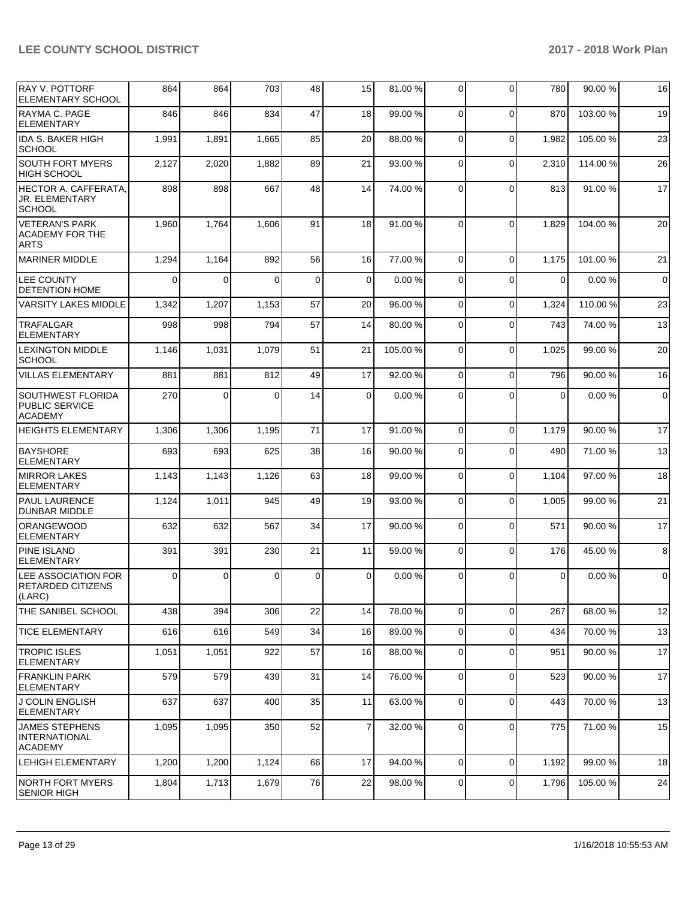| IRAY V. POTTORF<br>ELEMENTARY SCHOOL                             | 864      | 864      | 703      | 48          | 15             | 81.00%   | $\mathbf 0$ | $\Omega$    | 780         | 90.00 %  | 16          |
|------------------------------------------------------------------|----------|----------|----------|-------------|----------------|----------|-------------|-------------|-------------|----------|-------------|
| RAYMA C. PAGE<br>ELEMENTARY                                      | 846      | 846      | 834      | 47          | 18             | 99.00 %  | $\Omega$    | $\mathbf 0$ | 870         | 103.00%  | 19          |
| <b>IDA S. BAKER HIGH</b><br><b>SCHOOL</b>                        | 1,991    | 1,891    | 1,665    | 85          | 20             | 88.00 %  | $\Omega$    | $\mathbf 0$ | 1,982       | 105.00 % | 23          |
| <b>SOUTH FORT MYERS</b><br><b>HIGH SCHOOL</b>                    | 2,127    | 2,020    | 1,882    | 89          | 21             | 93.00 %  | $\Omega$    | $\Omega$    | 2,310       | 114.00 % | 26          |
| HECTOR A. CAFFERATA,<br><b>JR. ELEMENTARY</b><br><b>SCHOOL</b>   | 898      | 898      | 667      | 48          | 14             | 74.00 %  | $\Omega$    | $\Omega$    | 813         | 91.00%   | 17          |
| <b>VETERAN'S PARK</b><br><b>ACADEMY FOR THE</b><br><b>ARTS</b>   | 1,960    | 1,764    | 1,606    | 91          | 18             | 91.00%   | $\Omega$    | $\Omega$    | 1,829       | 104.00%  | 20          |
| <b>MARINER MIDDLE</b>                                            | 1,294    | 1,164    | 892      | 56          | 16             | 77.00 %  | $\Omega$    | $\Omega$    | 1,175       | 101.00%  | 21          |
| LEE COUNTY<br><b>DETENTION HOME</b>                              | 0        | $\Omega$ | $\Omega$ | $\mathbf 0$ | $\overline{0}$ | 0.00%    | $\Omega$    | $\Omega$    | $\Omega$    | 0.00%    | $\mathbf 0$ |
| VARSITY LAKES MIDDLE                                             | 1,342    | 1,207    | 1,153    | 57          | 20             | 96.00 %  | 0           | $\mathbf 0$ | 1,324       | 110.00 % | 23          |
| TRAFALGAR<br><b>ELEMENTARY</b>                                   | 998      | 998      | 794      | 57          | 14             | 80.00 %  | $\Omega$    | $\Omega$    | 743         | 74.00 %  | 13          |
| <b>LEXINGTON MIDDLE</b><br><b>SCHOOL</b>                         | 1,146    | 1,031    | 1,079    | 51          | 21             | 105.00 % | $\Omega$    | $\mathbf 0$ | 1,025       | 99.00 %  | 20          |
| <b>VILLAS ELEMENTARY</b>                                         | 881      | 881      | 812      | 49          | 17             | 92.00 %  | $\Omega$    | $\Omega$    | 796         | 90.00 %  | 16          |
| SOUTHWEST FLORIDA<br><b>PUBLIC SERVICE</b><br><b>ACADEMY</b>     | 270      | $\Omega$ | $\Omega$ | 14          | $\Omega$       | 0.00%    | $\Omega$    | $\Omega$    | $\Omega$    | 0.00%    | $\mathbf 0$ |
| <b>HEIGHTS ELEMENTARY</b>                                        | 1,306    | 1,306    | 1,195    | 71          | 17             | 91.00%   | $\mathbf 0$ | $\Omega$    | 1,179       | 90.00 %  | 17          |
| <b>BAYSHORE</b><br><b>ELEMENTARY</b>                             | 693      | 693      | 625      | 38          | 16             | 90.00 %  | $\mathbf 0$ | $\Omega$    | 490         | 71.00 %  | 13          |
| <b>MIRROR LAKES</b><br><b>ELEMENTARY</b>                         | 1,143    | 1,143    | 1,126    | 63          | 18             | 99.00 %  | $\Omega$    | $\mathbf 0$ | 1,104       | 97.00 %  | 18          |
| <b>PAUL LAURENCE</b><br><b>DUNBAR MIDDLE</b>                     | 1,124    | 1,011    | 945      | 49          | 19             | 93.00 %  | $\Omega$    | $\Omega$    | 1,005       | 99.00 %  | 21          |
| <b>ORANGEWOOD</b><br><b>ELEMENTARY</b>                           | 632      | 632      | 567      | 34          | 17             | 90.00 %  | 0           | $\Omega$    | 571         | 90.00 %  | 17          |
| <b>PINE ISLAND</b><br><b>ELEMENTARY</b>                          | 391      | 391      | 230      | 21          | 11             | 59.00 %  | $\Omega$    | $\mathbf 0$ | 176         | 45.00 %  | 8           |
| <b>LEE ASSOCIATION FOR</b><br><b>RETARDED CITIZENS</b><br>(LARC) | $\Omega$ | $\Omega$ | $\Omega$ | $\mathbf 0$ | $\Omega$       | 0.00%    | $\Omega$    | $\Omega$    | $\mathbf 0$ | 0.00%    | $\mathbf 0$ |
| THE SANIBEL SCHOOL                                               | 438      | 394      | 306      | 22          | 14             | 78.00 %  | 0           | $\mathbf 0$ | 267         | 68.00 %  | 12          |
| <b>TICE ELEMENTARY</b>                                           | 616      | 616      | 549      | 34          | 16             | 89.00 %  | 0           | $\mathbf 0$ | 434         | 70.00 %  | 13          |
| <b>TROPIC ISLES</b><br><b>ELEMENTARY</b>                         | 1,051    | 1,051    | 922      | 57          | 16             | 88.00 %  | $\mathbf 0$ | $\mathbf 0$ | 951         | 90.00 %  | 17          |
| <b>FRANKLIN PARK</b><br><b>ELEMENTARY</b>                        | 579      | 579      | 439      | 31          | 14             | 76.00 %  | $\mathbf 0$ | $\mathbf 0$ | 523         | 90.00 %  | 17          |
| <b>J COLIN ENGLISH</b><br><b>ELEMENTARY</b>                      | 637      | 637      | 400      | 35          | 11             | 63.00 %  | 0           | $\mathbf 0$ | 443         | 70.00 %  | 13          |
| <b>JAMES STEPHENS</b><br><b>INTERNATIONAL</b><br><b>ACADEMY</b>  | 1,095    | 1,095    | 350      | 52          | $\overline{7}$ | 32.00 %  | $\mathbf 0$ | $\mathbf 0$ | 775         | 71.00 %  | 15          |
| <b>LEHIGH ELEMENTARY</b>                                         | 1,200    | 1,200    | 1,124    | 66          | 17             | 94.00 %  | $\Omega$    | $\mathbf 0$ | 1,192       | 99.00 %  | 18          |
| NORTH FORT MYERS<br><b>SENIOR HIGH</b>                           | 1,804    | 1,713    | 1,679    | 76          | 22             | 98.00 %  | 0           | 0           | 1,796       | 105.00 % | 24          |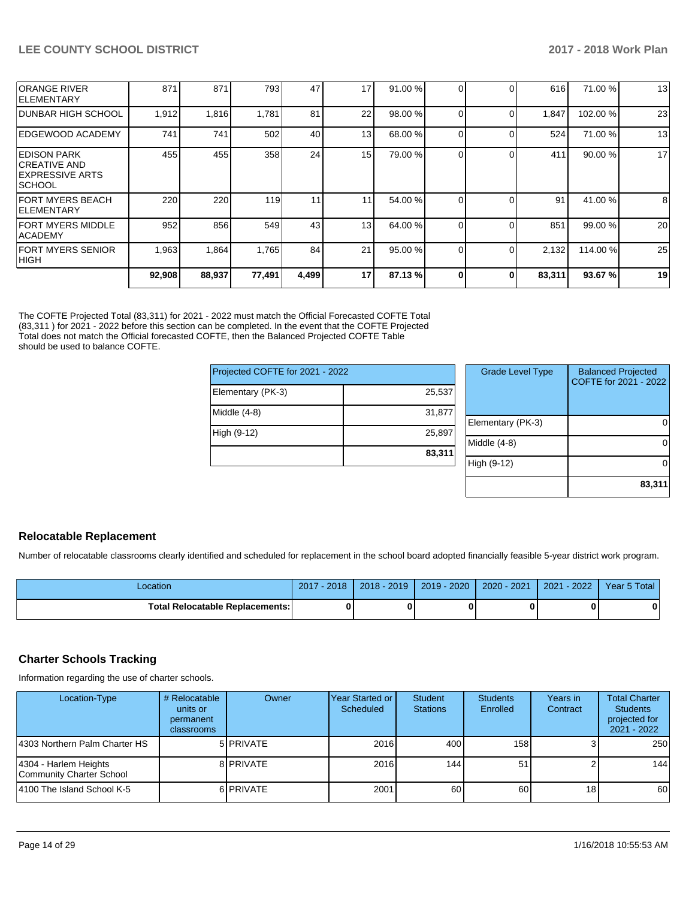|                                                                                      | 92,908 | 88,937 | 77,491 | 4,499 | 17 | 87.13 % | 0 | 0        | 83,311 | 93.67%   | 19 |
|--------------------------------------------------------------------------------------|--------|--------|--------|-------|----|---------|---|----------|--------|----------|----|
| <b>FORT MYERS SENIOR</b><br>HIGH                                                     | 1,963  | 1,864  | 1,765  | 84    | 21 | 95.00 % |   |          | 2,132  | 114.00 % | 25 |
| FORT MYERS MIDDLE<br><b>ACADEMY</b>                                                  | 952    | 856    | 549    | 43    | 13 | 64.00 % |   |          | 851    | 99.00 %  | 20 |
| FORT MYERS BEACH <br><b>IELEMENTARY</b>                                              | 220    | 220    | 119    | 11    | 11 | 54.00 % |   |          | 91     | 41.00 %  | 8  |
| <b>EDISON PARK</b><br><b>CREATIVE AND</b><br><b>EXPRESSIVE ARTS</b><br><b>SCHOOL</b> | 455    | 455    | 358    | 24    | 15 | 79.00 % |   |          | 411    | 90.00 %  | 17 |
| EDGEWOOD ACADEMY                                                                     | 741    | 741    | 502    | 40    | 13 | 68.00 % |   | $\Omega$ | 524    | 71.00 %  | 13 |
| <b>DUNBAR HIGH SCHOOL</b>                                                            | 1,912  | 1,816  | 1.781  | 81    | 22 | 98.00 % |   |          | 1,847  | 102.00%  | 23 |
| <b>ORANGE RIVER</b><br><b>IELEMENTARY</b>                                            | 871    | 871    | 793    | 47    | 17 | 91.00 % |   |          | 616    | 71.00 %  | 13 |

The COFTE Projected Total (83,311) for 2021 - 2022 must match the Official Forecasted COFTE Total (83,311 ) for 2021 - 2022 before this section can be completed. In the event that the COFTE Projected Total does not match the Official forecasted COFTE, then the Balanced Projected COFTE Table should be used to balance COFTE.

| Projected COFTE for 2021 - 2022 |        |      |  |  |  |
|---------------------------------|--------|------|--|--|--|
| Elementary (PK-3)               | 25,537 |      |  |  |  |
| Middle (4-8)                    | 31,877 | Eler |  |  |  |
| High (9-12)                     | 25,897 | Mid  |  |  |  |
|                                 | 83,311 | Hial |  |  |  |

| <b>Grade Level Type</b> | <b>Balanced Projected</b><br>COFTE for 2021 - 2022 |
|-------------------------|----------------------------------------------------|
| Elementary (PK-3)       |                                                    |
| Middle (4-8)            |                                                    |
| High (9-12)             |                                                    |
|                         | 83,311                                             |

# **Relocatable Replacement**

Number of relocatable classrooms clearly identified and scheduled for replacement in the school board adopted financially feasible 5-year district work program.

| Location                               | 2017 - 2018 | 2018 - 2019 | 2019 - 2020 | $2020 - 2021$ | 2021 - 2022 | Year 5 Total |
|----------------------------------------|-------------|-------------|-------------|---------------|-------------|--------------|
| <b>Total Relocatable Replacements:</b> |             |             |             |               |             |              |

## **Charter Schools Tracking**

Information regarding the use of charter schools.

| Location-Type                                     | # Relocatable<br>units or<br>permanent<br><b>classrooms</b> | Owner            | Year Started or<br>Scheduled | Student<br><b>Stations</b> | <b>Students</b><br>Enrolled | Years in<br>Contract | <b>Total Charter</b><br><b>Students</b><br>projected for<br>2021 - 2022 |
|---------------------------------------------------|-------------------------------------------------------------|------------------|------------------------------|----------------------------|-----------------------------|----------------------|-------------------------------------------------------------------------|
| 4303 Northern Palm Charter HS                     |                                                             | 5 <b>PRIVATE</b> | 2016                         | 400                        | 158 <sup>1</sup>            |                      | 250                                                                     |
| 4304 - Harlem Heights<br>Community Charter School |                                                             | 8 PRIVATE        | 2016                         | 144                        | 51                          |                      | 144                                                                     |
| 4100 The Island School K-5                        |                                                             | 6 PRIVATE        | 2001                         | 60                         | 60                          | 18 <sup>l</sup>      | 60                                                                      |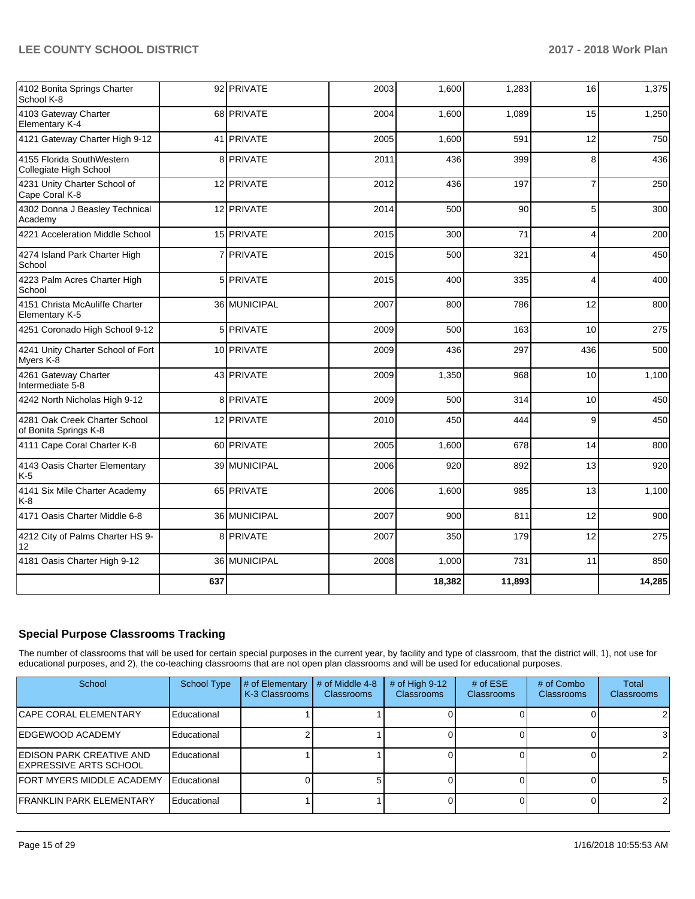| 4102 Bonita Springs Charter<br>School K-8              |     | 92 PRIVATE   | 2003 | 1,600  | 1,283  | 16             | 1,375  |
|--------------------------------------------------------|-----|--------------|------|--------|--------|----------------|--------|
| 4103 Gateway Charter<br>Elementary K-4                 |     | 68 PRIVATE   | 2004 | 1,600  | 1,089  | 15             | 1,250  |
| 4121 Gateway Charter High 9-12                         |     | 41 PRIVATE   | 2005 | 1,600  | 591    | 12             | 750    |
| 4155 Florida SouthWestern<br>Collegiate High School    |     | 8 PRIVATE    | 2011 | 436    | 399    | 8              | 436    |
| 4231 Unity Charter School of<br>Cape Coral K-8         |     | 12 PRIVATE   | 2012 | 436    | 197    | $\overline{7}$ | 250    |
| 4302 Donna J Beasley Technical<br>Academy              |     | 12 PRIVATE   | 2014 | 500    | 90     | 5              | 300    |
| 4221 Acceleration Middle School                        |     | 15 PRIVATE   | 2015 | 300    | 71     | $\overline{4}$ | 200    |
| 4274 Island Park Charter High<br>School                |     | 7 PRIVATE    | 2015 | 500    | 321    | 4              | 450    |
| 4223 Palm Acres Charter High<br>School                 |     | 5 PRIVATE    | 2015 | 400    | 335    | 4              | 400    |
| 4151 Christa McAuliffe Charter<br>Elementary K-5       |     | 36 MUNICIPAL | 2007 | 800    | 786    | 12             | 800    |
| 4251 Coronado High School 9-12                         |     | 5 PRIVATE    | 2009 | 500    | 163    | 10             | 275    |
| 4241 Unity Charter School of Fort<br>Myers K-8         |     | 10 PRIVATE   | 2009 | 436    | 297    | 436            | 500    |
| 4261 Gateway Charter<br>Intermediate 5-8               |     | 43 PRIVATE   | 2009 | 1,350  | 968    | 10             | 1,100  |
| 4242 North Nicholas High 9-12                          |     | 8 PRIVATE    | 2009 | 500    | 314    | 10             | 450    |
| 4281 Oak Creek Charter School<br>of Bonita Springs K-8 |     | 12 PRIVATE   | 2010 | 450    | 444    | 9              | 450    |
| 4111 Cape Coral Charter K-8                            |     | 60 PRIVATE   | 2005 | 1,600  | 678    | 14             | 800    |
| 4143 Oasis Charter Elementary<br>$K-5$                 |     | 39 MUNICIPAL | 2006 | 920    | 892    | 13             | 920    |
| 4141 Six Mile Charter Academy<br>K-8                   |     | 65 PRIVATE   | 2006 | 1.600  | 985    | 13             | 1,100  |
| 4171 Oasis Charter Middle 6-8                          |     | 36 MUNICIPAL | 2007 | 900    | 811    | 12             | 900    |
| 4212 City of Palms Charter HS 9-<br>12                 |     | 8 PRIVATE    | 2007 | 350    | 179    | 12             | 275    |
| 4181 Oasis Charter High 9-12                           |     | 36 MUNICIPAL | 2008 | 1,000  | 731    | 11             | 850    |
|                                                        | 637 |              |      | 18,382 | 11,893 |                | 14,285 |

# **Special Purpose Classrooms Tracking**

The number of classrooms that will be used for certain special purposes in the current year, by facility and type of classroom, that the district will, 1), not use for educational purposes, and 2), the co-teaching classrooms that are not open plan classrooms and will be used for educational purposes.

| School                                              | School Type | # of Elementary<br>K-3 Classrooms | # of Middle 4-8<br><b>Classrooms</b> | $#$ of High 9-12<br><b>Classrooms</b> | # of $ESE$<br><b>Classrooms</b> | # of Combo<br><b>Classrooms</b> | Total<br>Classrooms |
|-----------------------------------------------------|-------------|-----------------------------------|--------------------------------------|---------------------------------------|---------------------------------|---------------------------------|---------------------|
| <b>CAPE CORAL ELEMENTARY</b>                        | Educational |                                   |                                      |                                       |                                 |                                 | 2                   |
| IEDGEWOOD ACADEMY                                   | Educational |                                   |                                      |                                       |                                 |                                 | 3                   |
| EDISON PARK CREATIVE AND<br>IEXPRESSIVE ARTS SCHOOL | Educational |                                   |                                      |                                       |                                 |                                 | 2                   |
| FORT MYERS MIDDLE ACADEMY                           | Educational |                                   |                                      |                                       |                                 |                                 | -5                  |
| FRANKLIN PARK ELEMENTARY                            | Educational |                                   |                                      |                                       |                                 |                                 | 2                   |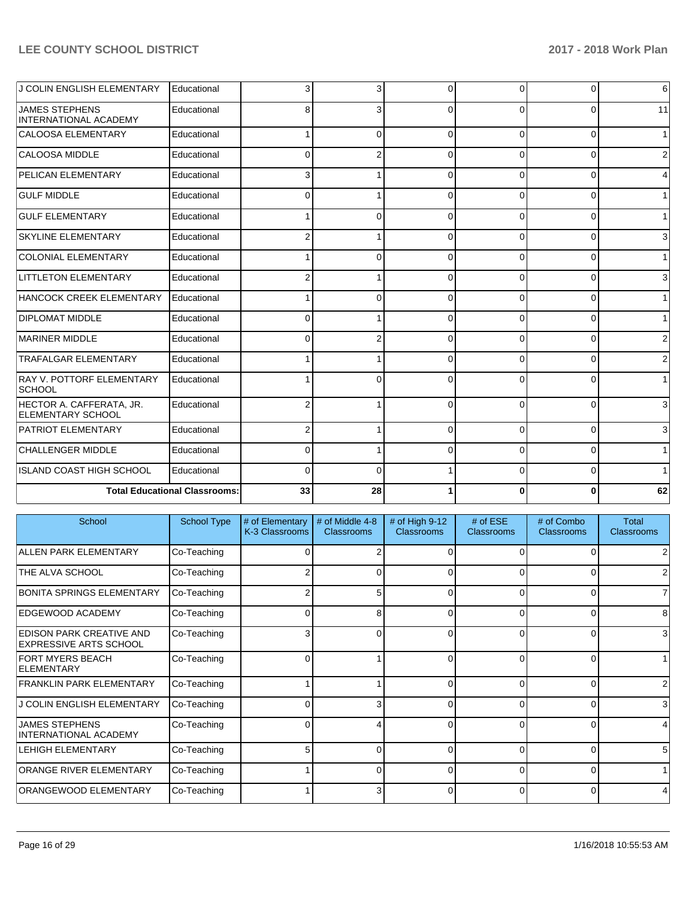| J COLIN ENGLISH ELEMENTARY                            | Educational                          | 3              | 3        | $\Omega$ | $\Omega$ | 0        | 6            |
|-------------------------------------------------------|--------------------------------------|----------------|----------|----------|----------|----------|--------------|
| <b>JAMES STEPHENS</b><br><b>INTERNATIONAL ACADEMY</b> | Educational                          | 8              | 3        | $\Omega$ | $\Omega$ | $\Omega$ | 11           |
| <b>CALOOSA ELEMENTARY</b>                             | Educational                          |                | ŋ        | $\Omega$ | $\Omega$ | $\Omega$ | $\mathbf{1}$ |
| CALOOSA MIDDLE                                        | Educational                          | $\Omega$       |          | $\Omega$ | $\Omega$ | 0        | 2            |
| PELICAN ELEMENTARY                                    | Educational                          | 3              |          | $\Omega$ | 0        | 0        | 4            |
| <b>GULF MIDDLE</b>                                    | Educational                          | $\Omega$       |          | $\Omega$ | $\Omega$ | 0        |              |
| <b>GULF ELEMENTARY</b>                                | Educational                          |                | $\Omega$ | $\Omega$ | $\Omega$ | $\Omega$ | 1            |
| <b>SKYLINE ELEMENTARY</b>                             | Educational                          | 2              |          | $\Omega$ | $\Omega$ | $\Omega$ | 3            |
| <b>COLONIAL ELEMENTARY</b>                            | Educational                          |                |          | $\Omega$ | $\Omega$ | $\Omega$ | 1            |
| LITTLETON ELEMENTARY                                  | Educational                          | 2              |          | $\Omega$ | $\Omega$ | $\Omega$ | 3            |
| HANCOCK CREEK ELEMENTARY                              | Educational                          |                | 0        | $\Omega$ | $\Omega$ | $\Omega$ | 1            |
| <b>DIPLOMAT MIDDLE</b>                                | Educational                          | $\Omega$       |          | $\Omega$ | $\Omega$ | $\Omega$ |              |
| MARINER MIDDLE                                        | Educational                          | $\Omega$       | 2        | $\Omega$ | $\Omega$ | $\Omega$ | 2            |
| <b>TRAFALGAR ELEMENTARY</b>                           | Educational                          |                |          |          | O        | 0        | 2            |
| RAY V. POTTORF ELEMENTARY<br><b>SCHOOL</b>            | Educational                          |                |          | $\Omega$ | $\Omega$ | $\Omega$ |              |
| HECTOR A. CAFFERATA, JR.<br><b>ELEMENTARY SCHOOL</b>  | Educational                          | 2              |          | $\Omega$ | $\Omega$ | $\Omega$ | 3            |
| <b>PATRIOT ELEMENTARY</b>                             | Educational                          | $\overline{2}$ |          | $\Omega$ | $\Omega$ | $\Omega$ | 3            |
| <b>CHALLENGER MIDDLE</b>                              | Educational                          | $\Omega$       |          | $\Omega$ | $\Omega$ | 0        | 1            |
| <b>ISLAND COAST HIGH SCHOOL</b>                       | Educational                          | $\Omega$       | ŋ        |          | $\Omega$ | $\Omega$ |              |
|                                                       | <b>Total Educational Classrooms:</b> | 33             | 28       |          |          | 0        | 62           |

| School                                                           | <b>School Type</b> | # of Elementary<br>K-3 Classrooms | # of Middle 4-8<br><b>Classrooms</b> | # of High 9-12<br><b>Classrooms</b> | # of $ESE$<br>Classrooms | # of Combo<br><b>Classrooms</b> | Total<br><b>Classrooms</b> |
|------------------------------------------------------------------|--------------------|-----------------------------------|--------------------------------------|-------------------------------------|--------------------------|---------------------------------|----------------------------|
| <b>ALLEN PARK ELEMENTARY</b>                                     | Co-Teaching        |                                   |                                      |                                     |                          | 0                               | 2                          |
| THE ALVA SCHOOL                                                  | Co-Teaching        |                                   | O                                    |                                     |                          | 0                               | $\overline{2}$             |
| <b>BONITA SPRINGS ELEMENTARY</b>                                 | Co-Teaching        |                                   | 5                                    | $\Omega$                            | 0                        | $\Omega$                        | $\overline{7}$             |
| <b>EDGEWOOD ACADEMY</b>                                          | Co-Teaching        |                                   | 8                                    | $\Omega$                            | 0                        | $\overline{0}$                  | 8                          |
| <b>EDISON PARK CREATIVE AND</b><br><b>EXPRESSIVE ARTS SCHOOL</b> | Co-Teaching        |                                   | 0                                    | ∩                                   | 0                        | 0                               | $\overline{3}$             |
| <b>FORT MYERS BEACH</b><br><b>ELEMENTARY</b>                     | Co-Teaching        |                                   |                                      | 0                                   | 0                        | $\overline{0}$                  |                            |
| <b>FRANKLIN PARK ELEMENTARY</b>                                  | Co-Teaching        |                                   |                                      | $\Omega$                            | 0                        | $\overline{0}$                  | $\overline{2}$             |
| J COLIN ENGLISH ELEMENTARY                                       | Co-Teaching        |                                   | 3                                    | 0                                   | 0                        | 0                               | 3                          |
| <b>JAMES STEPHENS</b><br>INTERNATIONAL ACADEMY                   | Co-Teaching        |                                   | 4                                    | $\Omega$                            | 0                        | $\Omega$                        | 4                          |
| <b>LEHIGH ELEMENTARY</b>                                         | Co-Teaching        |                                   | $\Omega$                             |                                     | $\Omega$                 | $\Omega$                        | 5 <sup>5</sup>             |
| ORANGE RIVER ELEMENTARY                                          | Co-Teaching        |                                   | $\Omega$                             | $\Omega$                            | 0                        | 0                               | 1 <sup>1</sup>             |
| ORANGEWOOD ELEMENTARY                                            | Co-Teaching        |                                   | 3                                    |                                     | 0                        | 0                               |                            |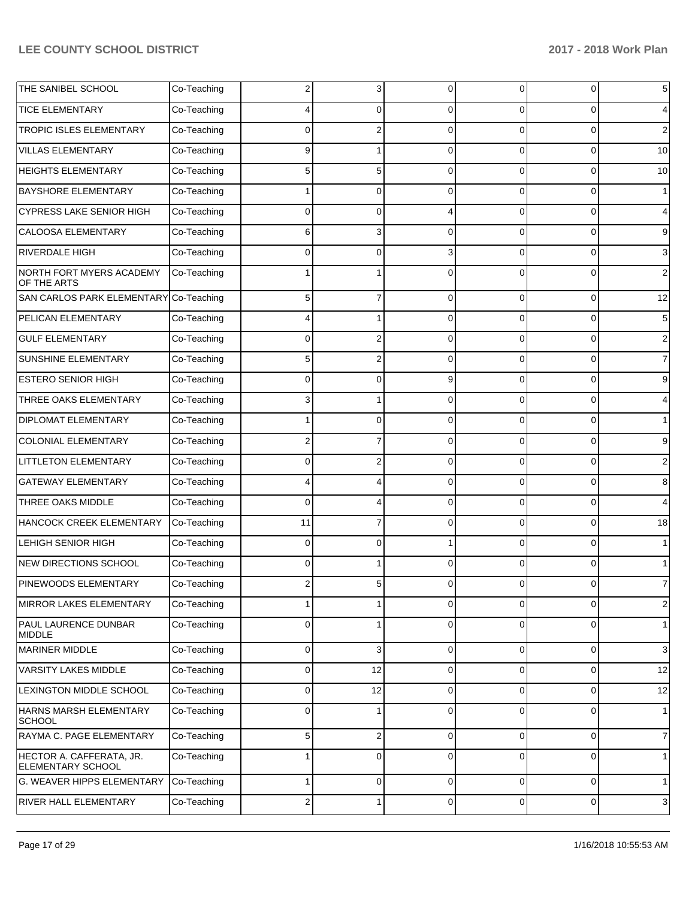| THE SANIBEL SCHOOL                            | Co-Teaching | 2           | 3              | 0           | 0           | $\overline{0}$ | $5\phantom{.0}$ |
|-----------------------------------------------|-------------|-------------|----------------|-------------|-------------|----------------|-----------------|
| <b>TICE ELEMENTARY</b>                        | Co-Teaching |             | 0              | $\Omega$    | 0           | 0              | $\overline{4}$  |
| TROPIC ISLES ELEMENTARY                       | Co-Teaching | 0           | 2              | $\Omega$    | $\Omega$    | 0              | $\overline{2}$  |
| <b>VILLAS ELEMENTARY</b>                      | Co-Teaching | 9           |                | $\Omega$    | $\Omega$    | 0              | 10              |
| <b>HEIGHTS ELEMENTARY</b>                     | Co-Teaching | 5           | 5              | $\Omega$    | $\Omega$    | 0              | 10              |
| <b>BAYSHORE ELEMENTARY</b>                    | Co-Teaching |             | 0              | $\Omega$    | $\Omega$    | 0              | 1               |
| <b>CYPRESS LAKE SENIOR HIGH</b>               | Co-Teaching | 0           | 0              | Δ           | $\Omega$    | 0              | $\overline{4}$  |
| <b>CALOOSA ELEMENTARY</b>                     | Co-Teaching | 6           | 3              | $\Omega$    | $\Omega$    | 0              | 9               |
| <b>RIVERDALE HIGH</b>                         | Co-Teaching | 0           | 0              | 3           | $\Omega$    | 0              | $\mathbf{3}$    |
| NORTH FORT MYERS ACADEMY<br>OF THE ARTS       | Co-Teaching |             |                | $\Omega$    | 0           | $\Omega$       | $\overline{2}$  |
| SAN CARLOS PARK ELEMENTARY Co-Teaching        |             | 5           | $\overline{7}$ | $\Omega$    | $\Omega$    | $\mathbf{0}$   | 12              |
| PELICAN ELEMENTARY                            | Co-Teaching | 4           | 1              | $\Omega$    | $\Omega$    | $\overline{0}$ | $5\overline{)}$ |
| <b>GULF ELEMENTARY</b>                        | Co-Teaching | 0           | 2              | $\Omega$    | $\Omega$    | 0              | $\overline{2}$  |
| SUNSHINE ELEMENTARY                           | Co-Teaching | 5           | 2              | $\Omega$    | $\Omega$    | $\overline{0}$ | $\overline{7}$  |
| <b>ESTERO SENIOR HIGH</b>                     | Co-Teaching | 0           | 0              | 9           | $\Omega$    | $\mathbf{0}$   | 9               |
| THREE OAKS ELEMENTARY                         | Co-Teaching | 3           | 1              | $\Omega$    | $\Omega$    | $\overline{0}$ | $\overline{4}$  |
| DIPLOMAT ELEMENTARY                           | Co-Teaching |             | 0              | $\Omega$    | $\Omega$    | 0              | 1               |
| <b>COLONIAL ELEMENTARY</b>                    | Co-Teaching | 2           | 7              | $\Omega$    | $\Omega$    | $\overline{0}$ | 9               |
| LITTLETON ELEMENTARY                          | Co-Teaching | 0           | 2              | $\Omega$    | $\Omega$    | 0              | $\overline{2}$  |
| <b>GATEWAY ELEMENTARY</b>                     | Co-Teaching | 4           | 4              | $\Omega$    | $\Omega$    | $\overline{0}$ | 8               |
| THREE OAKS MIDDLE                             | Co-Teaching | $\mathbf 0$ | 4              | $\Omega$    | $\Omega$    | $\overline{0}$ | $\overline{4}$  |
| HANCOCK CREEK ELEMENTARY                      | Co-Teaching | 11          | $\overline{7}$ | $\Omega$    | $\Omega$    | $\overline{0}$ | 18              |
| LEHIGH SENIOR HIGH                            | Co-Teaching | $\mathbf 0$ | 0              |             | $\Omega$    | 0              | $\mathbf{1}$    |
| <b>NEW DIRECTIONS SCHOOL</b>                  | Co-Teaching | $\Omega$    | 1              | $\Omega$    | $\Omega$    | $\overline{0}$ | 1               |
| PINEWOODS ELEMENTARY                          | Co-Teaching | 2           | 5              | 0           | 0           | $\overline{0}$ | $\overline{7}$  |
| <b>MIRROR LAKES ELEMENTARY</b>                | Co-Teaching | 1           | 1              | $\mathbf 0$ | $\Omega$    | $\overline{0}$ | $\overline{2}$  |
| PAUL LAURENCE DUNBAR<br><b>MIDDLE</b>         | Co-Teaching | 0           | 1              | $\mathbf 0$ | $\mathbf 0$ | $\overline{0}$ | 1               |
| <b>MARINER MIDDLE</b>                         | Co-Teaching | 0           | 3              | $\mathbf 0$ | 0           | 0              | $\mathbf{3}$    |
| <b>VARSITY LAKES MIDDLE</b>                   | Co-Teaching | 0           | 12             | $\mathbf 0$ | 0           | 0              | 12              |
| LEXINGTON MIDDLE SCHOOL                       | Co-Teaching | 0           | 12             | $\mathbf 0$ | 0           | 0              | 12              |
| HARNS MARSH ELEMENTARY<br><b>SCHOOL</b>       | Co-Teaching | 0           | 1              | $\Omega$    | 0           | 0              | $\mathbf{1}$    |
| RAYMA C. PAGE ELEMENTARY                      | Co-Teaching | 5           | 2              | $\mathbf 0$ | 0           | $\overline{0}$ | $\overline{7}$  |
| HECTOR A. CAFFERATA, JR.<br>ELEMENTARY SCHOOL | Co-Teaching |             | 0              | $\Omega$    | $\Omega$    | 0              | $\mathbf{1}$    |
| G. WEAVER HIPPS ELEMENTARY                    | Co-Teaching | 1           | 0              | $\mathbf 0$ | $\mathbf 0$ | $\overline{0}$ | 1               |
| RIVER HALL ELEMENTARY                         | Co-Teaching | 2           | 1              | $\mathbf 0$ | $\mathbf 0$ | $\overline{0}$ | $\mathbf{3}$    |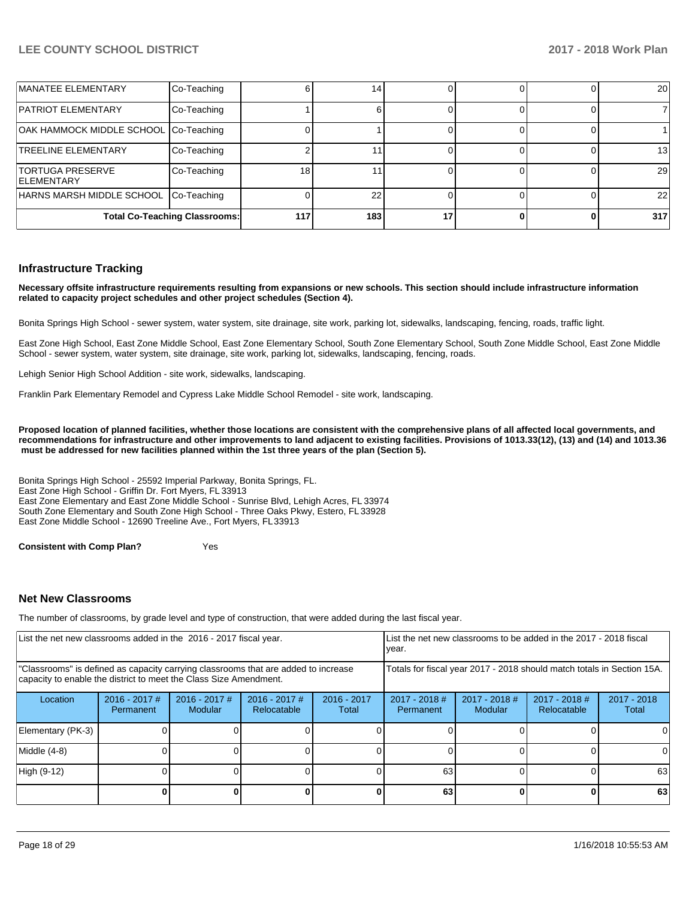| MANATEE ELEMENTARY                            | Co-Teaching                          |     | 14  |  | 20  |
|-----------------------------------------------|--------------------------------------|-----|-----|--|-----|
| <b>PATRIOT ELEMENTARY</b>                     | Co-Teaching                          |     |     |  |     |
| OAK HAMMOCK MIDDLE SCHOOL Co-Teaching         |                                      |     |     |  |     |
| <b>TREELINE ELEMENTARY</b>                    | Co-Teaching                          |     |     |  | 13  |
| <b>TORTUGA PRESERVE</b><br><b>IELEMENTARY</b> | Co-Teaching                          | 18  |     |  | 29  |
| HARNS MARSH MIDDLE SCHOOL Co-Teaching         |                                      |     | 22  |  | 22  |
|                                               | <b>Total Co-Teaching Classrooms:</b> | 117 | 183 |  | 317 |

#### **Infrastructure Tracking**

**Necessary offsite infrastructure requirements resulting from expansions or new schools. This section should include infrastructure information related to capacity project schedules and other project schedules (Section 4).** 

Bonita Springs High School - sewer system, water system, site drainage, site work, parking lot, sidewalks, landscaping, fencing, roads, traffic light.

East Zone High School, East Zone Middle School, East Zone Elementary School, South Zone Elementary School, South Zone Middle School, East Zone Middle School - sewer system, water system, site drainage, site work, parking lot, sidewalks, landscaping, fencing, roads.

Lehigh Senior High School Addition - site work, sidewalks, landscaping.

Franklin Park Elementary Remodel and Cypress Lake Middle School Remodel - site work, landscaping.

**Proposed location of planned facilities, whether those locations are consistent with the comprehensive plans of all affected local governments, and recommendations for infrastructure and other improvements to land adjacent to existing facilities. Provisions of 1013.33(12), (13) and (14) and 1013.36 must be addressed for new facilities planned within the 1st three years of the plan (Section 5).** 

Bonita Springs High School - 25592 Imperial Parkway, Bonita Springs, FL. East Zone High School - Griffin Dr. Fort Myers, FL 33913 East Zone Elementary and East Zone Middle School - Sunrise Blvd, Lehigh Acres, FL 33974 South Zone Elementary and South Zone High School - Three Oaks Pkwy, Estero, FL 33928 East Zone Middle School - 12690 Treeline Ave., Fort Myers, FL 33913

**Consistent with Comp Plan?** Yes

#### **Net New Classrooms**

The number of classrooms, by grade level and type of construction, that were added during the last fiscal year.

| List the net new classrooms added in the 2016 - 2017 fiscal year.                                                                                       |                              |                                   |                                |                        | List the net new classrooms to be added in the 2017 - 2018 fiscal<br>year. |                            |                                                                        |                        |
|---------------------------------------------------------------------------------------------------------------------------------------------------------|------------------------------|-----------------------------------|--------------------------------|------------------------|----------------------------------------------------------------------------|----------------------------|------------------------------------------------------------------------|------------------------|
| "Classrooms" is defined as capacity carrying classrooms that are added to increase<br>capacity to enable the district to meet the Class Size Amendment. |                              |                                   |                                |                        |                                                                            |                            | Totals for fiscal year 2017 - 2018 should match totals in Section 15A. |                        |
| Location                                                                                                                                                | $2016 - 2017$ #<br>Permanent | $2016 - 2017$ #<br><b>Modular</b> | $2016 - 2017$ #<br>Relocatable | $2016 - 2017$<br>Total | $2017 - 2018$ #<br>Permanent                                               | $2017 - 2018$ #<br>Modular | $2017 - 2018$ #<br>Relocatable                                         | $2017 - 2018$<br>Total |
| Elementary (PK-3)                                                                                                                                       |                              |                                   |                                |                        |                                                                            |                            |                                                                        |                        |
| Middle (4-8)                                                                                                                                            |                              |                                   |                                |                        |                                                                            |                            |                                                                        | <sup>0</sup>           |
| High (9-12)                                                                                                                                             |                              |                                   |                                |                        | 63                                                                         |                            |                                                                        | 63                     |
|                                                                                                                                                         |                              |                                   |                                |                        | 63                                                                         |                            | 0                                                                      | 63                     |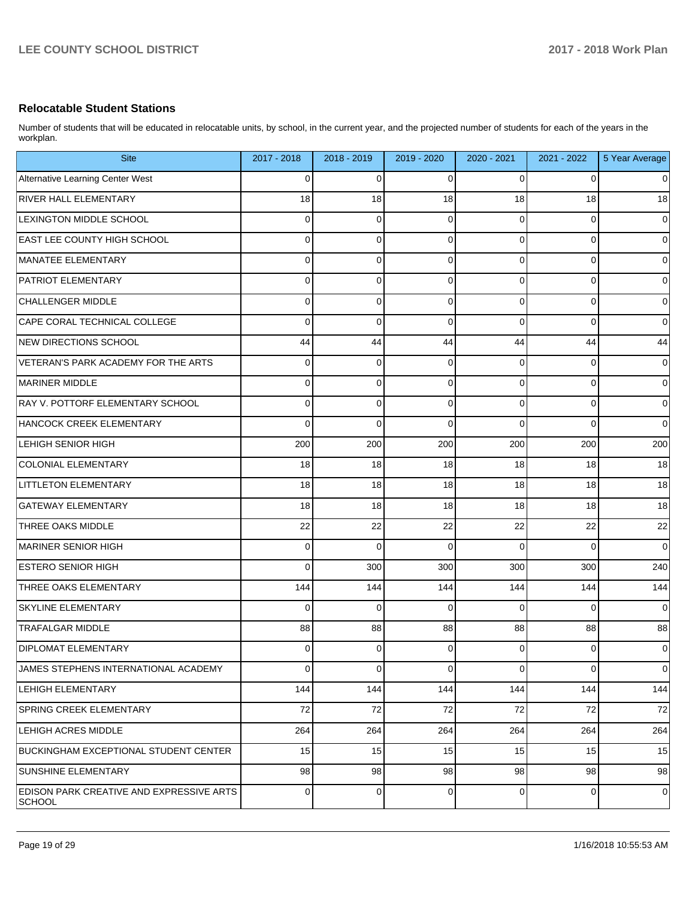#### **Relocatable Student Stations**

Number of students that will be educated in relocatable units, by school, in the current year, and the projected number of students for each of the years in the workplan.

| <b>Site</b>                                               | 2017 - 2018 | 2018 - 2019 | 2019 - 2020 | 2020 - 2021    | 2021 - 2022 | 5 Year Average |
|-----------------------------------------------------------|-------------|-------------|-------------|----------------|-------------|----------------|
| Alternative Learning Center West                          | 0           | 0           | 0           | 0              | 0           | $\overline{0}$ |
| <b>RIVER HALL ELEMENTARY</b>                              | 18          | 18          | 18          | 18             | 18          | 18             |
| <b>LEXINGTON MIDDLE SCHOOL</b>                            | 0           | 0           | 0           | $\Omega$       | 0           | $\mathbf 0$    |
| <b>EAST LEE COUNTY HIGH SCHOOL</b>                        | 0           | 0           | $\Omega$    | $\Omega$       | $\mathbf 0$ | $\mathbf 0$    |
| MANATEE ELEMENTARY                                        | 0           | 0           | $\Omega$    | $\Omega$       | 0           | $\overline{0}$ |
| <b>PATRIOT ELEMENTARY</b>                                 | 0           | 0           | 0           | $\Omega$       | $\mathbf 0$ | $\mathbf 0$    |
| CHALLENGER MIDDLE                                         | 0           | 0           | $\Omega$    | $\Omega$       | 0           | $\overline{0}$ |
| CAPE CORAL TECHNICAL COLLEGE                              | 0           | 0           | $\Omega$    | $\Omega$       | $\mathbf 0$ | $\overline{0}$ |
| NEW DIRECTIONS SCHOOL                                     | 44          | 44          | 44          | 44             | 44          | 44             |
| VETERAN'S PARK ACADEMY FOR THE ARTS                       | 0           | 0           | 0           | $\Omega$       | $\mathbf 0$ | $\mathbf 0$    |
| MARINER MIDDLE                                            | 0           | 0           | $\Omega$    | $\Omega$       | $\mathbf 0$ | $\overline{0}$ |
| RAY V. POTTORF ELEMENTARY SCHOOL                          | 0           | 0           | $\Omega$    | $\Omega$       | $\mathbf 0$ | $\mathbf 0$    |
| HANCOCK CREEK ELEMENTARY                                  | 0           | 0           | $\Omega$    | $\Omega$       | $\mathbf 0$ | $\overline{0}$ |
| <b>LEHIGH SENIOR HIGH</b>                                 | 200         | 200         | 200         | 200            | 200         | 200            |
| COLONIAL ELEMENTARY                                       | 18          | 18          | 18          | 18             | 18          | 18             |
| <b>LITTLETON ELEMENTARY</b>                               | 18          | 18          | 18          | 18             | 18          | 18             |
| <b>GATEWAY ELEMENTARY</b>                                 | 18          | 18          | 18          | 18             | 18          | 18             |
| <b>THREE OAKS MIDDLE</b>                                  | 22          | 22          | 22          | 22             | 22          | 22             |
| MARINER SENIOR HIGH                                       | 0           | $\mathbf 0$ | $\Omega$    | $\Omega$       | $\Omega$    | $\overline{0}$ |
| <b>ESTERO SENIOR HIGH</b>                                 | 0           | 300         | 300         | 300            | 300         | 240            |
| THREE OAKS ELEMENTARY                                     | 144         | 144         | 144         | 144            | 144         | 144            |
| <b>SKYLINE ELEMENTARY</b>                                 | 0           | 0           | 0           | $\Omega$       | $\Omega$    | $\mathbf 0$    |
| <b>TRAFALGAR MIDDLE</b>                                   | 88          | 88          | 88          | 88             | 88          | 88             |
| <b>DIPLOMAT ELEMENTARY</b>                                | 0           | 0           | 0           | 0              | $\mathbf 0$ | $\overline{0}$ |
| JAMES STEPHENS INTERNATIONAL ACADEMY                      | 0           | 0           | $\mathbf 0$ | 0              | $\mathbf 0$ | $\overline{0}$ |
| <b>LEHIGH ELEMENTARY</b>                                  | 144         | 144         | 144         | 144            | 144         | 144            |
| <b>SPRING CREEK ELEMENTARY</b>                            | 72          | 72          | 72          | 72             | 72          | 72             |
| <b>LEHIGH ACRES MIDDLE</b>                                | 264         | 264         | 264         | 264            | 264         | 264            |
| BUCKINGHAM EXCEPTIONAL STUDENT CENTER                     | 15          | 15          | 15          | 15             | 15          | 15             |
| <b>SUNSHINE ELEMENTARY</b>                                | 98          | 98          | 98          | 98             | 98          | 98             |
| <b>EDISON PARK CREATIVE AND EXPRESSIVE ARTS</b><br>SCHOOL | 0           | 0           | 0           | $\overline{0}$ | $\mathbf 0$ | $\pmb{0}$      |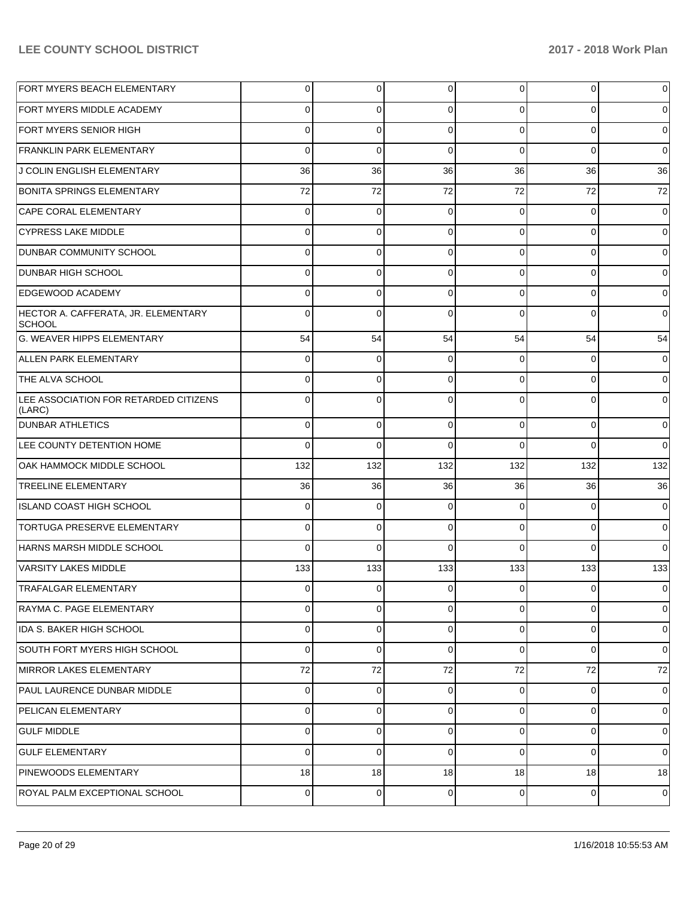| FORT MYERS BEACH ELEMENTARY                          | $\overline{0}$ | 0           | 0           | $\overline{0}$ | 0        | $\overline{0}$ |
|------------------------------------------------------|----------------|-------------|-------------|----------------|----------|----------------|
| FORT MYERS MIDDLE ACADEMY                            | $\Omega$       | 0           | $\Omega$    | $\Omega$       | $\Omega$ | $\overline{0}$ |
| FORT MYERS SENIOR HIGH                               | $\Omega$       | $\mathbf 0$ | $\Omega$    | $\Omega$       | $\Omega$ | $\overline{0}$ |
| <b>FRANKLIN PARK ELEMENTARY</b>                      | $\Omega$       | $\mathbf 0$ | $\Omega$    | $\Omega$       | $\Omega$ | $\overline{0}$ |
| J COLIN ENGLISH ELEMENTARY                           | 36             | 36          | 36          | 36             | 36       | 36             |
| <b>BONITA SPRINGS ELEMENTARY</b>                     | 72             | 72          | 72          | 72             | 72       | 72             |
| CAPE CORAL ELEMENTARY                                | $\Omega$       | $\Omega$    | $\Omega$    | $\Omega$       | $\Omega$ | $\overline{0}$ |
| <b>CYPRESS LAKE MIDDLE</b>                           | $\overline{0}$ | $\mathbf 0$ | $\Omega$    | $\Omega$       | $\Omega$ | $\overline{0}$ |
| DUNBAR COMMUNITY SCHOOL                              | $\Omega$       | $\Omega$    | $\Omega$    | $\Omega$       | $\Omega$ | $\overline{0}$ |
| <b>DUNBAR HIGH SCHOOL</b>                            | $\Omega$       | $\mathbf 0$ | $\mathbf 0$ | $\Omega$       | $\Omega$ | $\overline{0}$ |
| <b>EDGEWOOD ACADEMY</b>                              | $\Omega$       | $\Omega$    | $\Omega$    | $\Omega$       | $\Omega$ | $\overline{0}$ |
| HECTOR A. CAFFERATA, JR. ELEMENTARY<br><b>SCHOOL</b> | $\Omega$       | $\Omega$    | $\Omega$    | $\Omega$       | $\Omega$ | $\overline{0}$ |
| G. WEAVER HIPPS ELEMENTARY                           | 54             | 54          | 54          | 54             | 54       | 54             |
| ALLEN PARK ELEMENTARY                                | $\Omega$       | $\mathbf 0$ | $\Omega$    | $\Omega$       | $\Omega$ | 0              |
| THE ALVA SCHOOL                                      | $\Omega$       | $\mathbf 0$ | $\Omega$    | $\Omega$       | $\Omega$ | 0              |
| LEE ASSOCIATION FOR RETARDED CITIZENS<br>(LARC)      | $\Omega$       | $\Omega$    | $\Omega$    | $\Omega$       | $\Omega$ | $\Omega$       |
| <b>DUNBAR ATHLETICS</b>                              | $\Omega$       | 0           | $\Omega$    | $\Omega$       | $\Omega$ | 0              |
| LEE COUNTY DETENTION HOME                            | $\Omega$       | 0           | $\Omega$    | $\Omega$       | $\Omega$ | $\Omega$       |
| OAK HAMMOCK MIDDLE SCHOOL                            | 132            | 132         | 132         | 132            | 132      | 132            |
| <b>TREELINE ELEMENTARY</b>                           | 36             | 36          | 36          | 36             | 36       | 36             |
| ISLAND COAST HIGH SCHOOL                             | 0              | 0           | 0           | 0              | 0        | $\overline{0}$ |
| TORTUGA PRESERVE ELEMENTARY                          | $\Omega$       | 0           | 0           | $\Omega$       | $\Omega$ | $\overline{0}$ |
| HARNS MARSH MIDDLE SCHOOL                            | $\Omega$       | $\Omega$    | 0           | 0              | $\Omega$ | $\Omega$       |
| VARSITY LAKES MIDDLE                                 | 133            | 133         | 133         | 133            | 133      | 133            |
| <b>TRAFALGAR ELEMENTARY</b>                          | 0              | 0           | 0           | $\Omega$       | $\Omega$ | $\Omega$       |
| RAYMA C. PAGE ELEMENTARY                             | 0              | 0           | 0           | $\Omega$       | 0        | $\overline{0}$ |
| IDA S. BAKER HIGH SCHOOL                             | 0              | 0           | 0           | $\Omega$       | 0        | $\overline{0}$ |
| SOUTH FORT MYERS HIGH SCHOOL                         | 0              | 0           | $\mathbf 0$ | $\Omega$       | $\Omega$ | $\overline{0}$ |
| MIRROR LAKES ELEMENTARY                              | 72             | 72          | 72          | 72             | 72       | 72             |
| PAUL LAURENCE DUNBAR MIDDLE                          | 0              | 0           | 0           | 0              | 0        | $\overline{0}$ |
| <b>PELICAN ELEMENTARY</b>                            | 0              | 0           | 0           | $\Omega$       | $\Omega$ | $\overline{0}$ |
| <b>GULF MIDDLE</b>                                   | 0              | 0           | 0           | 0              | $\Omega$ | $\overline{0}$ |
| <b>GULF ELEMENTARY</b>                               | 0              | 0           | 0           | $\Omega$       | $\Omega$ | $\overline{0}$ |
| PINEWOODS ELEMENTARY                                 | 18             | 18          | 18          | 18             | 18       | 18             |
| ROYAL PALM EXCEPTIONAL SCHOOL                        | $\mathbf 0$    | 0           | 0           | $\overline{0}$ | 0        | 0              |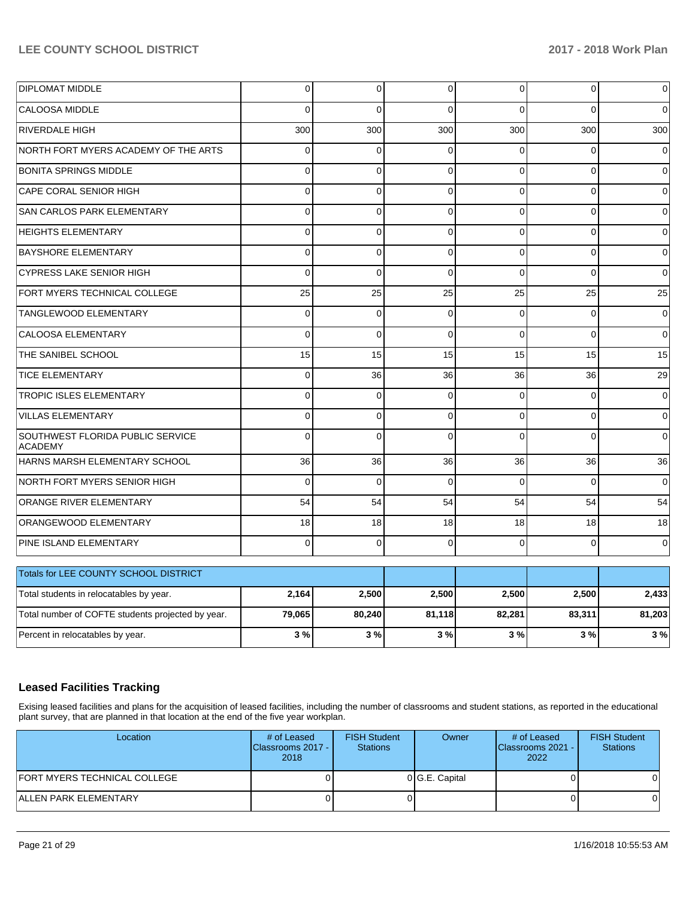| <b>DIPLOMAT MIDDLE</b>                             | 0           | $\pmb{0}$   | $\mathbf 0$  | $\overline{0}$ | 0              | $\pmb{0}$    |
|----------------------------------------------------|-------------|-------------|--------------|----------------|----------------|--------------|
| <b>CALOOSA MIDDLE</b>                              | $\Omega$    | $\Omega$    | $\Omega$     | $\Omega$       | $\Omega$       | $\Omega$     |
| <b>RIVERDALE HIGH</b>                              | 300         | 300         | 300          | 300            | 300            | 300          |
| NORTH FORT MYERS ACADEMY OF THE ARTS               | $\Omega$    | $\Omega$    | $\Omega$     | $\Omega$       | $\Omega$       | $\Omega$     |
| <b>BONITA SPRINGS MIDDLE</b>                       | $\mathbf 0$ | $\mathbf 0$ | $\mathbf 0$  | $\Omega$       | 0              | 0            |
| CAPE CORAL SENIOR HIGH                             | 0           | $\mathbf 0$ | $\mathbf 0$  | $\Omega$       | 0              | 0            |
| SAN CARLOS PARK ELEMENTARY                         | $\Omega$    | 0           | $\Omega$     | $\Omega$       | $\Omega$       | $\Omega$     |
| <b>HEIGHTS ELEMENTARY</b>                          | 0           | $\mathbf 0$ | $\mathbf 0$  | $\Omega$       | 0              | 0            |
| <b>BAYSHORE ELEMENTARY</b>                         | $\Omega$    | $\Omega$    | $\Omega$     | $\Omega$       | $\Omega$       | $\Omega$     |
| <b>CYPRESS LAKE SENIOR HIGH</b>                    | 0           | $\mathbf 0$ | $\Omega$     | $\Omega$       | $\overline{0}$ | $\mathbf{0}$ |
| FORT MYERS TECHNICAL COLLEGE                       | 25          | 25          | 25           | 25             | 25             | 25           |
| <b>TANGLEWOOD ELEMENTARY</b>                       | 0           | $\mathbf 0$ | $\mathbf 0$  | $\Omega$       | $\Omega$       | $\mathbf 0$  |
| <b>CALOOSA ELEMENTARY</b>                          | $\Omega$    | $\mathbf 0$ | $\mathbf{0}$ | $\Omega$       | $\Omega$       | $\mathbf 0$  |
| THE SANIBEL SCHOOL                                 | 15          | 15          | 15           | 15             | 15             | 15           |
| <b>TICE ELEMENTARY</b>                             | 0           | 36          | 36           | 36             | 36             | 29           |
| <b>TROPIC ISLES ELEMENTARY</b>                     | $\Omega$    | $\mathbf 0$ | $\Omega$     | $\Omega$       | $\Omega$       | 0            |
| <b>VILLAS ELEMENTARY</b>                           | 0           | $\mathbf 0$ | $\mathbf 0$  | $\Omega$       | 0              | 0            |
| SOUTHWEST FLORIDA PUBLIC SERVICE<br><b>ACADEMY</b> | $\Omega$    | $\mathbf 0$ | $\Omega$     | $\Omega$       | $\Omega$       | $\Omega$     |
| HARNS MARSH ELEMENTARY SCHOOL                      | 36          | 36          | 36           | 36             | 36             | 36           |
| NORTH FORT MYERS SENIOR HIGH                       | 0           | 0           | $\Omega$     | $\Omega$       | $\Omega$       | $\Omega$     |
| ORANGE RIVER ELEMENTARY                            | 54          | 54          | 54           | 54             | 54             | 54           |
| ORANGEWOOD ELEMENTARY                              | 18          | 18          | 18           | 18             | 18             | 18           |
| PINE ISLAND ELEMENTARY                             | $\Omega$    | $\mathbf 0$ | $\Omega$     | $\Omega$       | $\Omega$       | 0            |
| Totals for LEE COUNTY SCHOOL DISTRICT              |             |             |              |                |                |              |
| Total students in relocatables by year.            | 2,164       | 2,500       | 2,500        | 2,500          | 2,500          | 2,433        |
| Total number of COFTE students projected by year.  | 79,065      | 80,240      | 81,118       | 82,281         | 83,311         | 81,203       |
| Percent in relocatables by year.                   | 3%          | 3%          | 3%           | 3%             | 3%             | 3%           |

## **Leased Facilities Tracking**

Exising leased facilities and plans for the acquisition of leased facilities, including the number of classrooms and student stations, as reported in the educational plant survey, that are planned in that location at the end of the five year workplan.

| Location                     | # of Leased<br>Classrooms 2017 - I<br>2018 | <b>FISH Student</b><br><b>Stations</b> | Owner          | # of Leased<br><b>Classrooms 2021 - I</b><br>2022 | <b>FISH Student</b><br><b>Stations</b> |
|------------------------------|--------------------------------------------|----------------------------------------|----------------|---------------------------------------------------|----------------------------------------|
| FORT MYERS TECHNICAL COLLEGE |                                            |                                        | 0 G.E. Capital |                                                   |                                        |
| ALLEN PARK ELEMENTARY        |                                            |                                        |                |                                                   |                                        |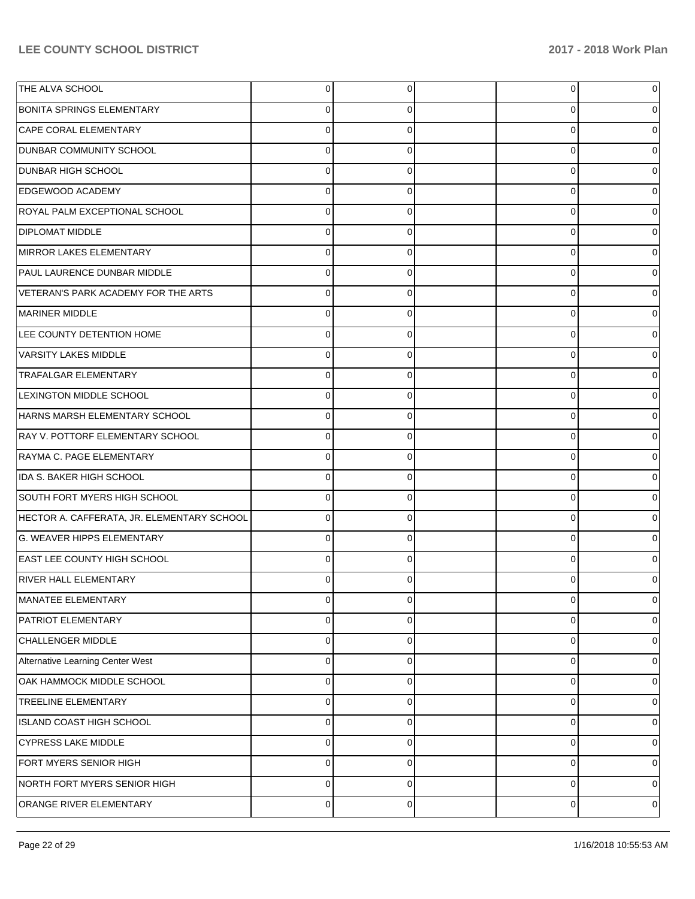| THE ALVA SCHOOL                            | 0           | 0        | 0              | 0 |
|--------------------------------------------|-------------|----------|----------------|---|
| <b>BONITA SPRINGS ELEMENTARY</b>           | 0           | 0        | 0              |   |
| CAPE CORAL ELEMENTARY                      | $\Omega$    | $\Omega$ | 0              |   |
| <b>DUNBAR COMMUNITY SCHOOL</b>             | $\Omega$    | 0        | 0              |   |
| <b>DUNBAR HIGH SCHOOL</b>                  | $\Omega$    | $\Omega$ | 0              |   |
| <b>EDGEWOOD ACADEMY</b>                    | $\Omega$    | 0        | 0              |   |
| ROYAL PALM EXCEPTIONAL SCHOOL              | $\Omega$    | $\Omega$ | 0              |   |
| <b>DIPLOMAT MIDDLE</b>                     | 0           | 0        | 0              |   |
| MIRROR LAKES ELEMENTARY                    | $\Omega$    | $\Omega$ | 0              |   |
| PAUL LAURENCE DUNBAR MIDDLE                | $\Omega$    | 0        | 0              |   |
| VETERAN'S PARK ACADEMY FOR THE ARTS        | $\Omega$    | $\Omega$ | 0              |   |
| MARINER MIDDLE                             | $\Omega$    | 0        | 0              |   |
| LEE COUNTY DETENTION HOME                  | $\Omega$    | $\Omega$ | 0              |   |
| <b>VARSITY LAKES MIDDLE</b>                | $\Omega$    | 0        | 0              |   |
| <b>TRAFALGAR ELEMENTARY</b>                | $\Omega$    | $\Omega$ | 0              |   |
| <b>LEXINGTON MIDDLE SCHOOL</b>             | $\Omega$    | 0        | 0              |   |
| HARNS MARSH ELEMENTARY SCHOOL              | $\Omega$    | $\Omega$ | 0              |   |
| RAY V. POTTORF ELEMENTARY SCHOOL           | $\Omega$    | 0        | 0              |   |
| RAYMA C. PAGE ELEMENTARY                   | $\Omega$    | $\Omega$ | 0              |   |
| IDA S. BAKER HIGH SCHOOL                   | $\Omega$    | 0        | 0              |   |
| SOUTH FORT MYERS HIGH SCHOOL               | $\Omega$    | 0        | 0              |   |
| HECTOR A. CAFFERATA, JR. ELEMENTARY SCHOOL | $\Omega$    | 0        | 0              |   |
| <b>G. WEAVER HIPPS ELEMENTARY</b>          | $\Omega$    | O        | 0              |   |
| <b>EAST LEE COUNTY HIGH SCHOOL</b>         | $\Omega$    | $\Omega$ | 0              |   |
| <b>RIVER HALL ELEMENTARY</b>               |             | n        | 0              |   |
| <b>MANATEE ELEMENTARY</b>                  | 0           | 0        | $\overline{0}$ | 0 |
| PATRIOT ELEMENTARY                         | 0           | 0        | 0              | 0 |
| <b>CHALLENGER MIDDLE</b>                   | 0           | $\Omega$ | 0              | 0 |
| Alternative Learning Center West           | $\Omega$    | $\Omega$ | $\mathbf 0$    | 0 |
| OAK HAMMOCK MIDDLE SCHOOL                  | 0           | $\Omega$ | 0              | 0 |
| <b>TREELINE ELEMENTARY</b>                 | $\Omega$    | $\Omega$ | $\mathbf 0$    | 0 |
| ISLAND COAST HIGH SCHOOL                   | 0           | $\Omega$ | 0              | 0 |
| <b>CYPRESS LAKE MIDDLE</b>                 | 0           | $\Omega$ | $\mathbf 0$    | 0 |
| FORT MYERS SENIOR HIGH                     | 0           | $\Omega$ | 0              | 0 |
| NORTH FORT MYERS SENIOR HIGH               | $\Omega$    | $\Omega$ | $\mathbf 0$    | 0 |
| ORANGE RIVER ELEMENTARY                    | $\mathbf 0$ | $\Omega$ | $\overline{0}$ | 0 |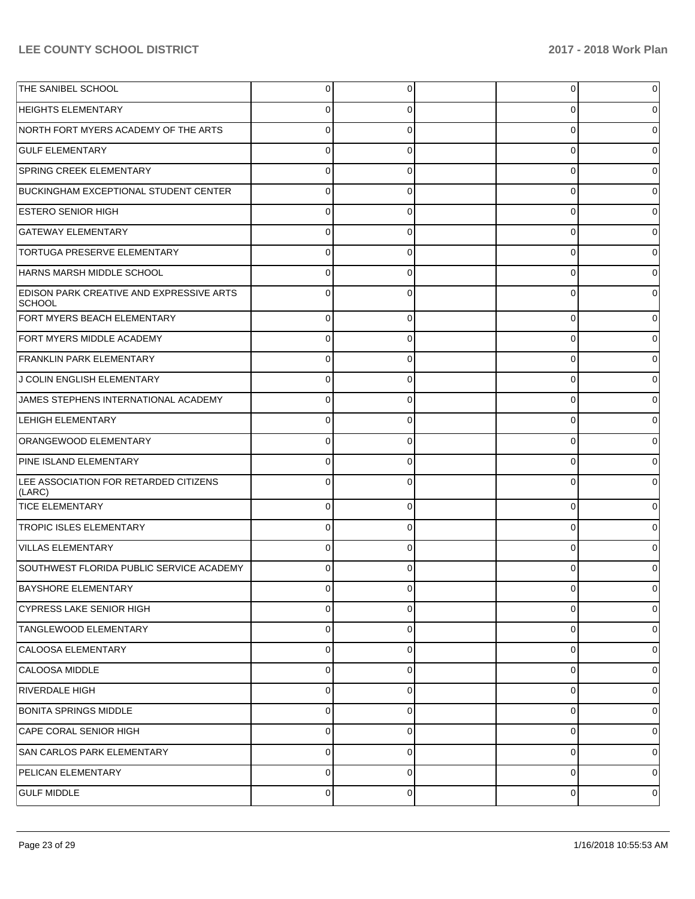| THE SANIBEL SCHOOL                                        | $\Omega$    | 0        | 0        | 0 |
|-----------------------------------------------------------|-------------|----------|----------|---|
| <b>HEIGHTS ELEMENTARY</b>                                 | 0           | 0        | 0        | O |
| NORTH FORT MYERS ACADEMY OF THE ARTS                      | $\Omega$    | 0        | 0        | O |
| <b>GULF ELEMENTARY</b>                                    | $\Omega$    | 0        | 0        | 0 |
| <b>SPRING CREEK ELEMENTARY</b>                            | $\Omega$    | 0        | 0        |   |
| <b>BUCKINGHAM EXCEPTIONAL STUDENT CENTER</b>              | $\Omega$    | 0        | 0        | O |
| <b>ESTERO SENIOR HIGH</b>                                 | $\Omega$    | 0        | 0        |   |
| <b>GATEWAY ELEMENTARY</b>                                 | 0           | 0        | 0        | O |
| <b>TORTUGA PRESERVE ELEMENTARY</b>                        | $\Omega$    | 0        | 0        | O |
| HARNS MARSH MIDDLE SCHOOL                                 | $\Omega$    | 0        | 0        | O |
| <b>EDISON PARK CREATIVE AND EXPRESSIVE ARTS</b><br>SCHOOL |             | 0        | 0        |   |
| FORT MYERS BEACH ELEMENTARY                               | $\Omega$    | $\Omega$ | $\Omega$ | 0 |
| <b>FORT MYERS MIDDLE ACADEMY</b>                          | 0           | 0        | 0        | 0 |
| <b>FRANKLIN PARK ELEMENTARY</b>                           | $\Omega$    | 0        | 0        | 0 |
| J COLIN ENGLISH ELEMENTARY                                | 0           | 0        | 0        | 0 |
| JAMES STEPHENS INTERNATIONAL ACADEMY                      | $\Omega$    | 0        | 0        | 0 |
| <b>LEHIGH ELEMENTARY</b>                                  | C           | 0        | $\Omega$ | 0 |
| ORANGEWOOD ELEMENTARY                                     | $\Omega$    | 0        | $\Omega$ | 0 |
| PINE ISLAND ELEMENTARY                                    | $\Omega$    | 0        | 0        | 0 |
| LEE ASSOCIATION FOR RETARDED CITIZENS<br>(LARC)           | $\Omega$    | $\Omega$ | $\Omega$ |   |
| <b>TICE ELEMENTARY</b>                                    | 0           | 0        | 0        | 0 |
| <b>TROPIC ISLES ELEMENTARY</b>                            |             | $\Omega$ | 0        |   |
| VILLAS ELEMENTARY                                         | 0           | 0        | 0        |   |
| SOUTHWEST FLORIDA PUBLIC SERVICE ACADEMY                  |             | ∩        | C        |   |
| BAYSHORE ELEMENTARY                                       |             |          |          |   |
| <b>CYPRESS LAKE SENIOR HIGH</b>                           | 0           | 0        | 0        | 0 |
| <b>TANGLEWOOD ELEMENTARY</b>                              | 0           | 0        | 0        | 0 |
| CALOOSA ELEMENTARY                                        | $\mathbf 0$ | 0        | 0        | 0 |
| CALOOSA MIDDLE                                            | $\mathbf 0$ | 0        | 0        | 0 |
| RIVERDALE HIGH                                            | 0           | 0        | 0        | 0 |
| <b>BONITA SPRINGS MIDDLE</b>                              | $\mathbf 0$ | 0        | 0        | 0 |
| CAPE CORAL SENIOR HIGH                                    | 0           | 0        | 0        | 0 |
| SAN CARLOS PARK ELEMENTARY                                | $\mathbf 0$ | 0        | 0        | 0 |
| PELICAN ELEMENTARY                                        | 0           | 0        | 0        | 0 |
| <b>GULF MIDDLE</b>                                        | 0           | 0        | 0        | 0 |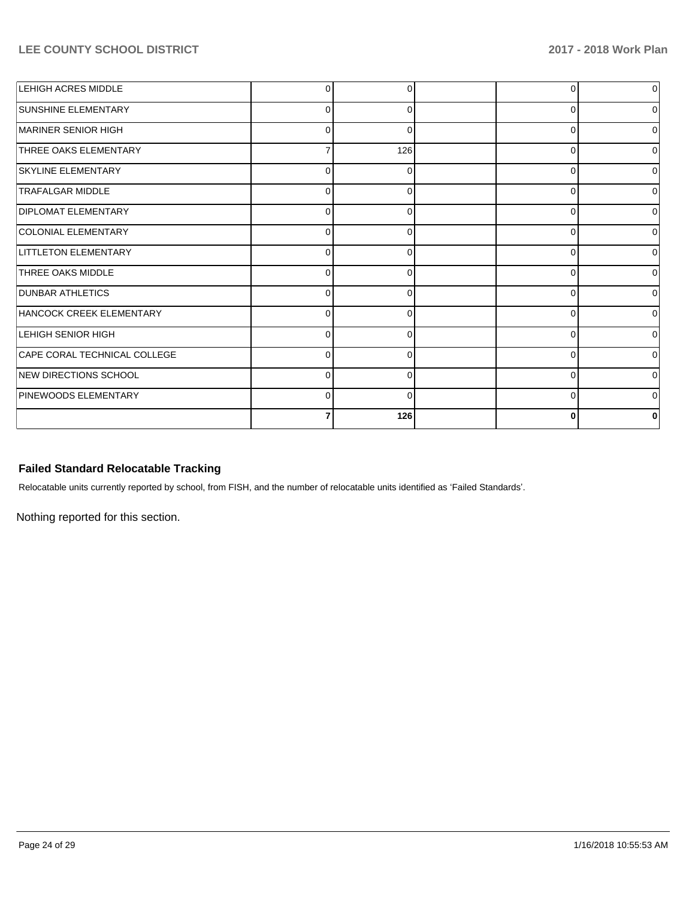| <b>LEHIGH ACRES MIDDLE</b>   |          | <sup>0</sup> |          | $\overline{0}$ |
|------------------------------|----------|--------------|----------|----------------|
| <b>SUNSHINE ELEMENTARY</b>   | 0        | 0            | U        | $\overline{0}$ |
| MARINER SENIOR HIGH          | 0        | ∩            | 0        | $\Omega$       |
| <b>THREE OAKS ELEMENTARY</b> |          | 126          | $\Omega$ | $\overline{0}$ |
| <b>SKYLINE ELEMENTARY</b>    | n        |              | ∩        | $\Omega$       |
| <b>TRAFALGAR MIDDLE</b>      | ſ        |              | n        | 0              |
| <b>DIPLOMAT ELEMENTARY</b>   | O        | $\Omega$     | $\Omega$ | $\overline{0}$ |
| COLONIAL ELEMENTARY          | 0        | 0            | 0        | 0              |
| <b>LITTLETON ELEMENTARY</b>  | $\Omega$ | $\Omega$     | n        | $\Omega$       |
| <b>THREE OAKS MIDDLE</b>     | ∩        |              |          | $\Omega$       |
| <b>DUNBAR ATHLETICS</b>      |          |              |          | 0              |
| HANCOCK CREEK ELEMENTARY     | O        | $\Omega$     | $\Omega$ | $\overline{0}$ |
| LEHIGH SENIOR HIGH           | $\Omega$ | ∩            | 0        | 0              |
| CAPE CORAL TECHNICAL COLLEGE | $\Omega$ | $\Omega$     | n        | $\Omega$       |
| NEW DIRECTIONS SCHOOL        |          |              | n        | $\Omega$       |
| PINEWOODS ELEMENTARY         | r        | O            | O        | 0              |
|                              |          | 126          | 0        | 0              |

# **Failed Standard Relocatable Tracking**

Relocatable units currently reported by school, from FISH, and the number of relocatable units identified as 'Failed Standards'.

Nothing reported for this section.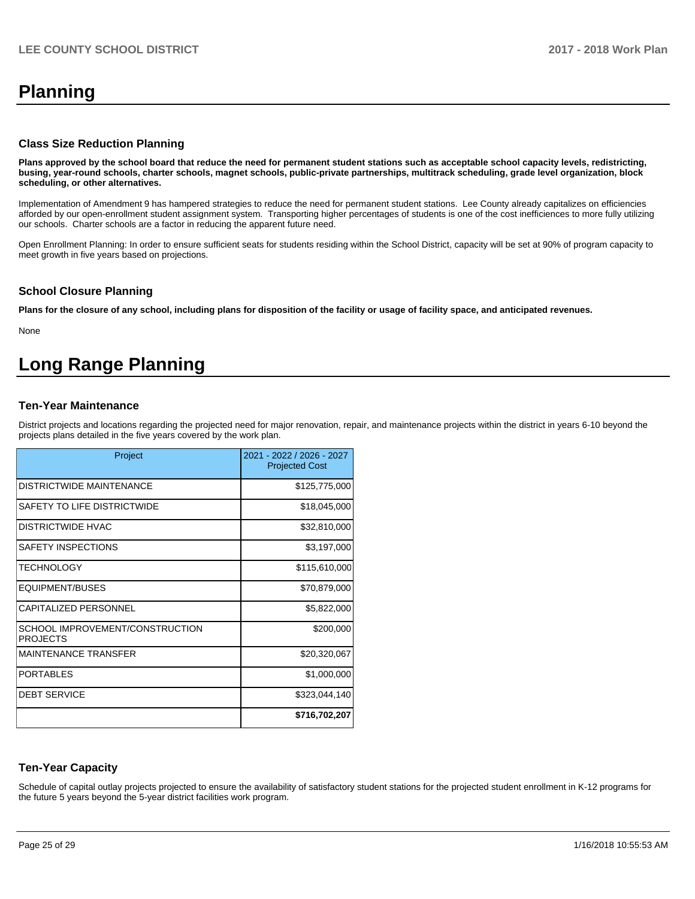# **Planning**

#### **Class Size Reduction Planning**

**Plans approved by the school board that reduce the need for permanent student stations such as acceptable school capacity levels, redistricting, busing, year-round schools, charter schools, magnet schools, public-private partnerships, multitrack scheduling, grade level organization, block scheduling, or other alternatives.**

Implementation of Amendment 9 has hampered strategies to reduce the need for permanent student stations. Lee County already capitalizes on efficiencies afforded by our open-enrollment student assignment system. Transporting higher percentages of students is one of the cost inefficiences to more fully utilizing our schools. Charter schools are a factor in reducing the apparent future need.

Open Enrollment Planning: In order to ensure sufficient seats for students residing within the School District, capacity will be set at 90% of program capacity to meet growth in five years based on projections.

#### **School Closure Planning**

**Plans for the closure of any school, including plans for disposition of the facility or usage of facility space, and anticipated revenues.** 

None

# **Long Range Planning**

#### **Ten-Year Maintenance**

District projects and locations regarding the projected need for major renovation, repair, and maintenance projects within the district in years 6-10 beyond the projects plans detailed in the five years covered by the work plan.

| Project                                            | 2021 - 2022 / 2026 - 2027<br><b>Projected Cost</b> |
|----------------------------------------------------|----------------------------------------------------|
| DISTRICTWIDE MAINTENANCE                           | \$125,775,000                                      |
| SAFETY TO LIFE DISTRICTWIDE                        | \$18,045,000                                       |
| DISTRICTWIDE HVAC                                  | \$32,810,000                                       |
| SAFETY INSPECTIONS                                 | \$3,197,000                                        |
| <b>TECHNOLOGY</b>                                  | \$115,610,000                                      |
| EQUIPMENT/BUSES                                    | \$70,879,000                                       |
| <b>CAPITALIZED PERSONNEL</b>                       | \$5,822,000                                        |
| SCHOOL IMPROVEMENT/CONSTRUCTION<br><b>PROJECTS</b> | \$200,000                                          |
| <b>MAINTENANCE TRANSFER</b>                        | \$20,320,067                                       |
| <b>PORTABLES</b>                                   | \$1,000,000                                        |
| <b>DEBT SERVICE</b>                                | \$323,044,140                                      |
|                                                    | \$716,702,207                                      |

#### **Ten-Year Capacity**

Schedule of capital outlay projects projected to ensure the availability of satisfactory student stations for the projected student enrollment in K-12 programs for the future 5 years beyond the 5-year district facilities work program.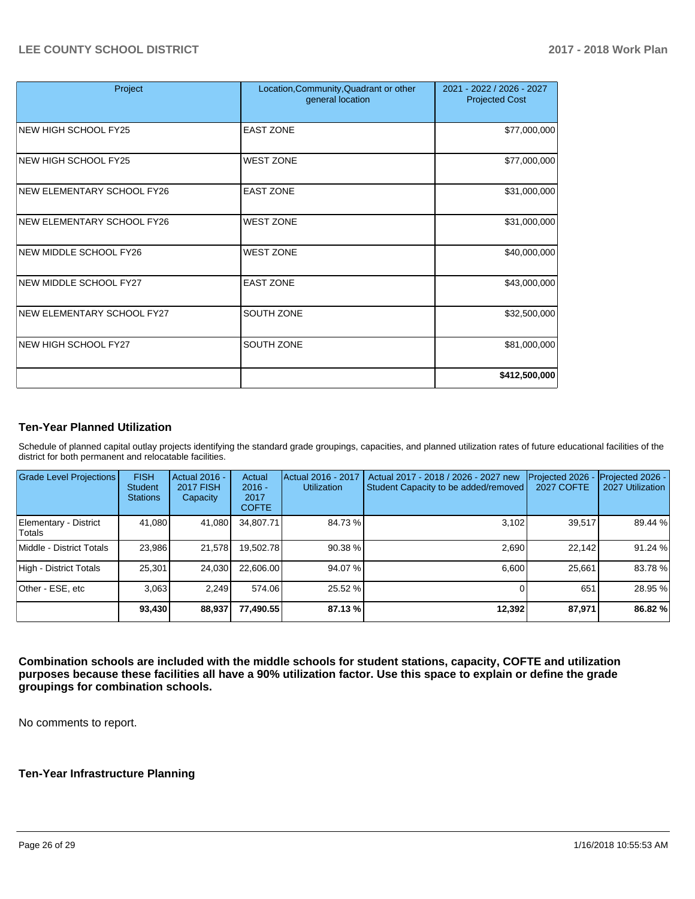| Project                           | Location, Community, Quadrant or other<br>general location | 2021 - 2022 / 2026 - 2027<br><b>Projected Cost</b> |
|-----------------------------------|------------------------------------------------------------|----------------------------------------------------|
| <b>NEW HIGH SCHOOL FY25</b>       | <b>EAST ZONE</b>                                           | \$77,000,000                                       |
| NEW HIGH SCHOOL FY25              | <b>WEST ZONE</b>                                           | \$77,000,000                                       |
| <b>NEW ELEMENTARY SCHOOL FY26</b> | <b>EAST ZONE</b>                                           | \$31,000,000                                       |
| <b>NEW ELEMENTARY SCHOOL FY26</b> | <b>WEST ZONE</b>                                           | \$31,000,000                                       |
| NEW MIDDLE SCHOOL FY26            | <b>WEST ZONE</b>                                           | \$40,000,000                                       |
| NEW MIDDLE SCHOOL FY27            | <b>EAST ZONE</b>                                           | \$43,000,000                                       |
| NEW ELEMENTARY SCHOOL FY27        | <b>SOUTH ZONE</b>                                          | \$32,500,000                                       |
| <b>NEW HIGH SCHOOL FY27</b>       | SOUTH ZONE                                                 | \$81,000,000                                       |
|                                   |                                                            | \$412,500,000                                      |

#### **Ten-Year Planned Utilization**

Schedule of planned capital outlay projects identifying the standard grade groupings, capacities, and planned utilization rates of future educational facilities of the district for both permanent and relocatable facilities.

| <b>Grade Level Projections</b>  | <b>FISH</b><br>Student<br><b>Stations</b> | <b>Actual 2016 -</b><br><b>2017 FISH</b><br>Capacity | Actual<br>$2016 -$<br>2017<br><b>COFTE</b> | Actual 2016 - 2017<br><b>Utilization</b> | Actual 2017 - 2018 / 2026 - 2027 new<br>Student Capacity to be added/removed | Projected 2026 -<br><b>2027 COFTE</b> | Projected 2026 -<br>2027 Utilization |
|---------------------------------|-------------------------------------------|------------------------------------------------------|--------------------------------------------|------------------------------------------|------------------------------------------------------------------------------|---------------------------------------|--------------------------------------|
| Elementary - District<br>Totals | 41,080                                    | 41,080                                               | 34,807.71                                  | 84.73 %                                  | 3,102                                                                        | 39,517                                | 89.44 %                              |
| Middle - District Totals        | 23,986                                    | 21,578                                               | 19,502.78                                  | 90.38 %                                  | 2.690                                                                        | 22.142                                | 91.24%                               |
| High - District Totals          | 25,301                                    | 24,030                                               | 22,606.00                                  | 94.07%                                   | 6.600                                                                        | 25,661                                | 83.78 %                              |
| Other - ESE, etc                | 3.063                                     | 2.249                                                | 574.06                                     | 25.52 %                                  |                                                                              | 651                                   | 28.95 %                              |
|                                 | 93,430                                    | 88,937                                               | 77,490.55                                  | 87.13 %                                  | 12,392                                                                       | 87,971                                | 86.82 %                              |

**Combination schools are included with the middle schools for student stations, capacity, COFTE and utilization purposes because these facilities all have a 90% utilization factor. Use this space to explain or define the grade groupings for combination schools.** 

No comments to report.

#### **Ten-Year Infrastructure Planning**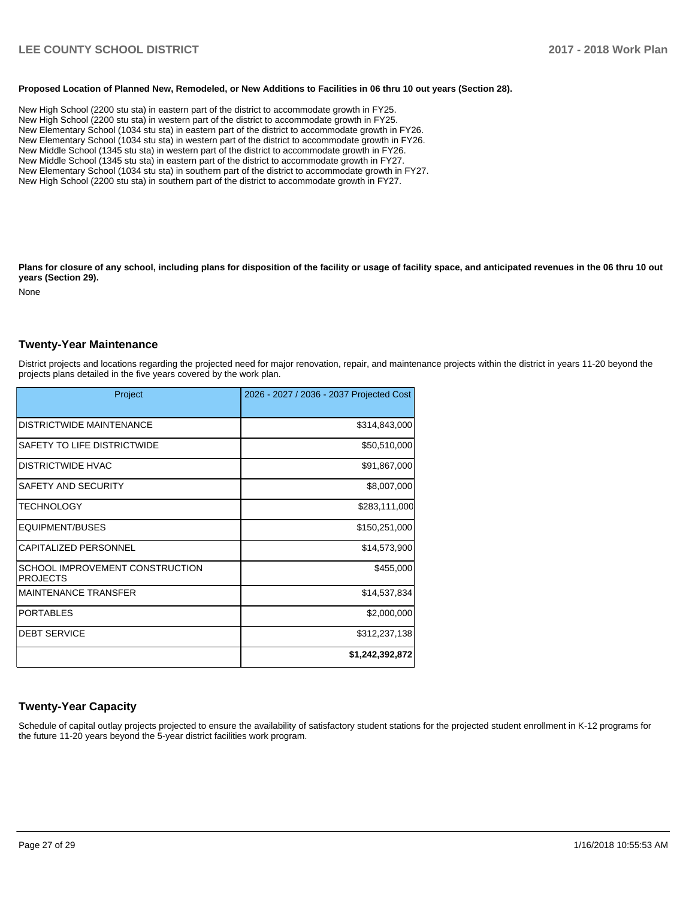#### **Proposed Location of Planned New, Remodeled, or New Additions to Facilities in 06 thru 10 out years (Section 28).**

New High School (2200 stu sta) in eastern part of the district to accommodate growth in FY25. New High School (2200 stu sta) in western part of the district to accommodate growth in FY25. New Elementary School (1034 stu sta) in eastern part of the district to accommodate growth in FY26. New Elementary School (1034 stu sta) in western part of the district to accommodate growth in FY26. New Middle School (1345 stu sta) in western part of the district to accommodate growth in FY26. New Middle School (1345 stu sta) in eastern part of the district to accommodate growth in FY27. New Elementary School (1034 stu sta) in southern part of the district to accommodate growth in FY27. New High School (2200 stu sta) in southern part of the district to accommodate growth in FY27.

Plans for closure of any school, including plans for disposition of the facility or usage of facility space, and anticipated revenues in the 06 thru 10 out **years (Section 29).**

None

#### **Twenty-Year Maintenance**

District projects and locations regarding the projected need for major renovation, repair, and maintenance projects within the district in years 11-20 beyond the projects plans detailed in the five years covered by the work plan.

| Project                                            | 2026 - 2027 / 2036 - 2037 Projected Cost |
|----------------------------------------------------|------------------------------------------|
| <b>DISTRICTWIDE MAINTENANCE</b>                    | \$314,843,000                            |
| SAFETY TO LIFE DISTRICTWIDE                        | \$50,510,000                             |
| <b>DISTRICTWIDE HVAC</b>                           | \$91,867,000                             |
| SAFETY AND SECURITY                                | \$8,007,000                              |
| <b>TECHNOLOGY</b>                                  | \$283,111,000                            |
| <b>EQUIPMENT/BUSES</b>                             | \$150,251,000                            |
| <b>CAPITALIZED PERSONNEL</b>                       | \$14,573,900                             |
| SCHOOL IMPROVEMENT CONSTRUCTION<br><b>PROJECTS</b> | \$455,000                                |
| <b>MAINTENANCE TRANSFER</b>                        | \$14,537,834                             |
| <b>PORTABLES</b>                                   | \$2,000,000                              |
| <b>DEBT SERVICE</b>                                | \$312,237,138                            |
|                                                    | \$1,242,392,872                          |

## **Twenty-Year Capacity**

Schedule of capital outlay projects projected to ensure the availability of satisfactory student stations for the projected student enrollment in K-12 programs for the future 11-20 years beyond the 5-year district facilities work program.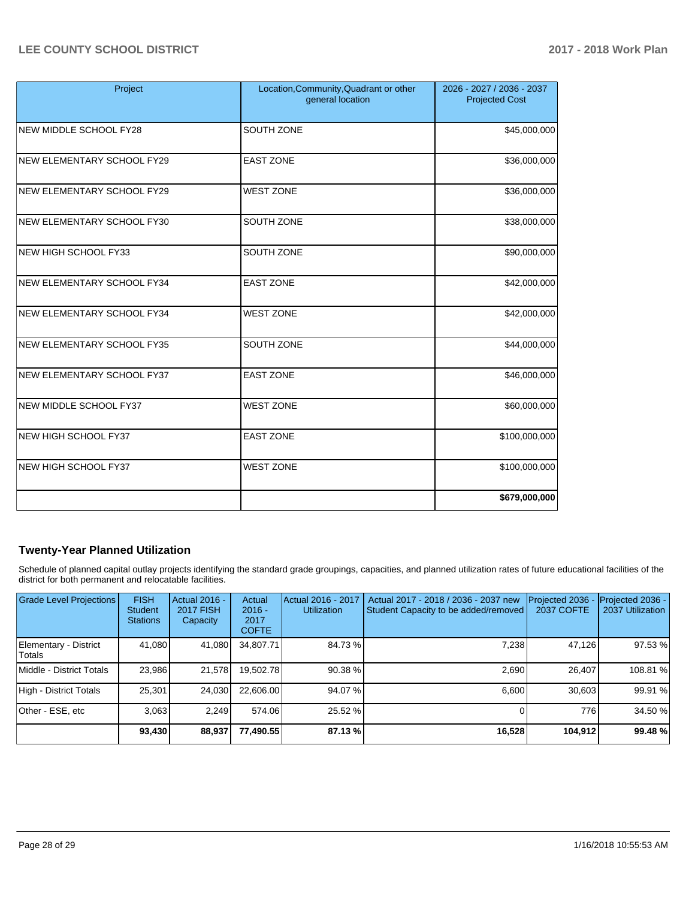| Project                       | Location, Community, Quadrant or other<br>general location | 2026 - 2027 / 2036 - 2037<br><b>Projected Cost</b> |
|-------------------------------|------------------------------------------------------------|----------------------------------------------------|
| <b>NEW MIDDLE SCHOOL FY28</b> | SOUTH ZONE                                                 | \$45,000,000                                       |
| NEW ELEMENTARY SCHOOL FY29    | <b>EAST ZONE</b>                                           | \$36,000,000                                       |
| NEW ELEMENTARY SCHOOL FY29    | <b>WEST ZONE</b>                                           | \$36,000,000                                       |
| NEW ELEMENTARY SCHOOL FY30    | SOUTH ZONE                                                 | \$38,000,000                                       |
| <b>NEW HIGH SCHOOL FY33</b>   | SOUTH ZONE                                                 | \$90,000,000                                       |
| NEW ELEMENTARY SCHOOL FY34    | <b>EAST ZONE</b>                                           | \$42,000,000                                       |
| NEW ELEMENTARY SCHOOL FY34    | <b>WEST ZONE</b>                                           | \$42,000,000                                       |
| NEW ELEMENTARY SCHOOL FY35    | SOUTH ZONE                                                 | \$44,000,000                                       |
| NEW ELEMENTARY SCHOOL FY37    | <b>EAST ZONE</b>                                           | \$46,000,000                                       |
| NEW MIDDLE SCHOOL FY37        | <b>WEST ZONE</b>                                           | \$60,000,000                                       |
| NEW HIGH SCHOOL FY37          | <b>EAST ZONE</b>                                           | \$100,000,000                                      |
| <b>NEW HIGH SCHOOL FY37</b>   | <b>WEST ZONE</b>                                           | \$100,000,000                                      |
|                               |                                                            | \$679,000,000                                      |

# **Twenty-Year Planned Utilization**

Schedule of planned capital outlay projects identifying the standard grade groupings, capacities, and planned utilization rates of future educational facilities of the district for both permanent and relocatable facilities.

| <b>Grade Level Projections</b>  | <b>FISH</b><br><b>Student</b><br><b>Stations</b> | <b>Actual 2016 -</b><br><b>2017 FISH</b><br>Capacity | Actual<br>$2016 -$<br>2017<br><b>COFTE</b> | Actual 2016 - 2017<br><b>Utilization</b> | Actual 2017 - 2018 / 2036 - 2037 new<br>Student Capacity to be added/removed | Projected 2036<br>2037 COFTE | Projected 2036 -<br>2037 Utilization |
|---------------------------------|--------------------------------------------------|------------------------------------------------------|--------------------------------------------|------------------------------------------|------------------------------------------------------------------------------|------------------------------|--------------------------------------|
| Elementary - District<br>Totals | 41.080                                           | 41,080                                               | 34.807.71                                  | 84.73%                                   | 7,238                                                                        | 47.126                       | 97.53 %                              |
| Middle - District Totals        | 23,986                                           | 21,578                                               | 19,502.78                                  | 90.38 %                                  | 2.690                                                                        | 26.407                       | 108.81 %                             |
| High - District Totals          | 25.301                                           | 24.030                                               | 22.606.00                                  | 94.07 %                                  | 6.600                                                                        | 30.603                       | 99.91%                               |
| Other - ESE, etc                | 3.063                                            | 2.249                                                | 574.06                                     | 25.52 %                                  |                                                                              | 776                          | 34.50 %                              |
|                                 | 93,430                                           | 88,937                                               | 77,490.55                                  | 87.13 %                                  | 16,528                                                                       | 104,912                      | 99.48 %                              |